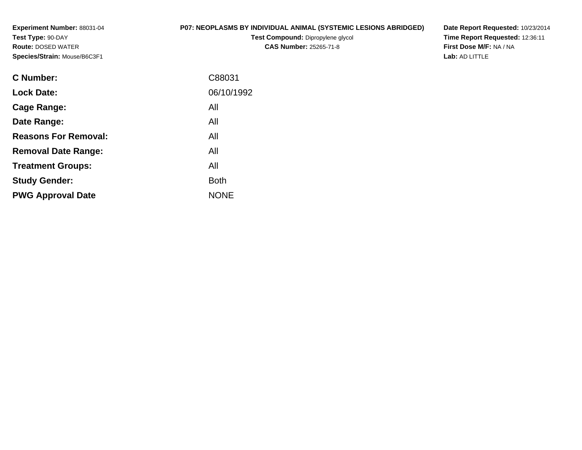**Experiment Number:** 88031-04**Test Type:** 90-DAY **Route:** DOSED WATER**Species/Strain:** Mouse/B6C3F1

# **P07: NEOPLASMS BY INDIVIDUAL ANIMAL (SYSTEMIC LESIONS ABRIDGED)**

**Test Compound:** Dipropylene glycol **CAS Number:** 25265-71-8

**Date Report Requested:** 10/23/2014 **Time Report Requested:** 12:36:11**First Dose M/F:** NA / NA**Lab:** AD LITTLE

| C88031      |
|-------------|
| 06/10/1992  |
| All         |
| All         |
| All         |
| All         |
| All         |
| Both        |
| <b>NONE</b> |
|             |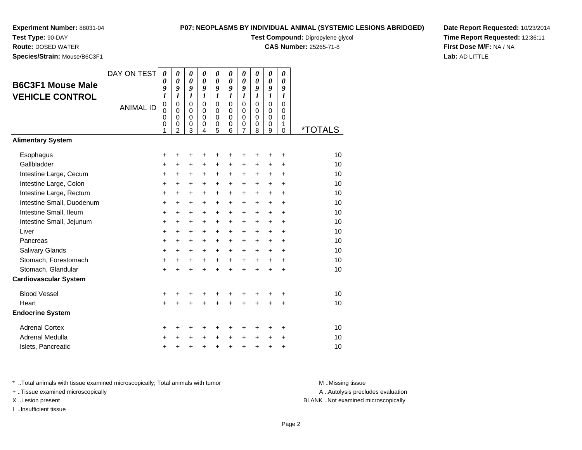**Experiment Number:** 88031-04**Test Type:** 90-DAY

**Species/Strain:** Mouse/B6C3F1

**Route:** DOSED WATER

# **P07: NEOPLASMS BY INDIVIDUAL ANIMAL (SYSTEMIC LESIONS ABRIDGED)**

**Test Compound:** Dipropylene glycol

**CAS Number:** 25265-71-8

**Date Report Requested:** 10/23/2014**Time Report Requested:** 12:36:11**First Dose M/F:** NA / NA**Lab:** AD LITTLE

| <b>B6C3F1 Mouse Male</b><br><b>VEHICLE CONTROL</b> | DAY ON TEST<br><b>ANIMAL ID</b> | 0<br>0<br>9<br>1<br>$\pmb{0}$<br>0<br>$\mathbf 0$<br>0<br>1 | 0<br>$\boldsymbol{\theta}$<br>9<br>$\boldsymbol{l}$<br>$\mathbf 0$<br>$\mathbf 0$<br>$\mathbf 0$<br>0<br>$\overline{2}$ | 0<br>$\boldsymbol{\theta}$<br>9<br>1<br>$\mathbf 0$<br>$\mathbf 0$<br>$\mathbf 0$<br>0<br>3 | 0<br>$\boldsymbol{\theta}$<br>9<br>$\boldsymbol{l}$<br>$\Omega$<br>$\Omega$<br>$\Omega$<br>0<br>4 | 0<br>$\boldsymbol{\theta}$<br>9<br>$\boldsymbol{l}$<br>$\mathbf 0$<br>$\pmb{0}$<br>$\mathbf 0$<br>$\pmb{0}$<br>5 | 0<br>0<br>9<br>$\mathbf{I}$<br>$\mathbf 0$<br>$\mathbf 0$<br>$\Omega$<br>0<br>6 | 0<br>0<br>9<br>$\boldsymbol{l}$<br>$\mathbf 0$<br>$\mathbf 0$<br>$\mathbf 0$<br>0<br>$\overline{7}$ | 0<br>0<br>9<br>$\boldsymbol{l}$<br>$\Omega$<br>$\mathbf 0$<br>$\Omega$<br>0<br>8 | 0<br>0<br>9<br>$\boldsymbol{l}$<br>0<br>$\mathbf 0$<br>$\mathbf 0$<br>0<br>9 | 0<br>0<br>9<br>1<br>$\Omega$<br>$\Omega$<br>$\Omega$<br>1<br>0 | <i><b>*TOTALS</b></i> |
|----------------------------------------------------|---------------------------------|-------------------------------------------------------------|-------------------------------------------------------------------------------------------------------------------------|---------------------------------------------------------------------------------------------|---------------------------------------------------------------------------------------------------|------------------------------------------------------------------------------------------------------------------|---------------------------------------------------------------------------------|-----------------------------------------------------------------------------------------------------|----------------------------------------------------------------------------------|------------------------------------------------------------------------------|----------------------------------------------------------------|-----------------------|
| <b>Alimentary System</b>                           |                                 |                                                             |                                                                                                                         |                                                                                             |                                                                                                   |                                                                                                                  |                                                                                 |                                                                                                     |                                                                                  |                                                                              |                                                                |                       |
| Esophagus                                          |                                 | +                                                           | +                                                                                                                       | +                                                                                           | +                                                                                                 | +                                                                                                                | +                                                                               | $\pm$                                                                                               | ٠                                                                                | +                                                                            | +                                                              | 10                    |
| Gallbladder                                        |                                 | $\ddot{}$                                                   | $\ddot{}$                                                                                                               | $\pm$                                                                                       | $\ddot{}$                                                                                         | $\ddot{}$                                                                                                        | $\ddot{}$                                                                       | $\ddot{}$                                                                                           | +                                                                                | $\ddot{}$                                                                    | $\ddot{}$                                                      | 10                    |
| Intestine Large, Cecum                             |                                 | $\ddot{}$                                                   | +                                                                                                                       | $\ddot{}$                                                                                   | +                                                                                                 | $\ddot{}$                                                                                                        | $\ddot{}$                                                                       | $+$                                                                                                 | $\pm$                                                                            | $\ddot{}$                                                                    | $\ddot{}$                                                      | 10                    |
| Intestine Large, Colon                             |                                 | $\ddot{}$                                                   | $\ddot{}$                                                                                                               | $\ddot{}$                                                                                   | $\ddot{}$                                                                                         | $\ddot{}$                                                                                                        | $\ddot{}$                                                                       | $+$                                                                                                 | $\ddot{}$                                                                        | $\ddot{}$                                                                    | $\ddot{}$                                                      | 10                    |
| Intestine Large, Rectum                            |                                 | +                                                           | +                                                                                                                       | +                                                                                           | +                                                                                                 | +                                                                                                                | $\pm$                                                                           | $\ddot{}$                                                                                           | +                                                                                | $\ddot{}$                                                                    | +                                                              | 10                    |
| Intestine Small, Duodenum                          |                                 | +                                                           | $\ddot{}$                                                                                                               | +                                                                                           | $\ddot{}$                                                                                         | $\ddot{}$                                                                                                        | $\ddot{}$                                                                       | $\ddot{}$                                                                                           | +                                                                                | $\ddot{}$                                                                    | $\ddot{}$                                                      | 10                    |
| Intestine Small, Ileum                             |                                 | $\ddot{}$                                                   | $\ddot{}$                                                                                                               | +                                                                                           | $\ddot{}$                                                                                         | $\ddot{}$                                                                                                        | $\ddot{}$                                                                       | $\ddot{}$                                                                                           | $\ddot{}$                                                                        | $+$                                                                          | $\ddot{}$                                                      | 10                    |
| Intestine Small, Jejunum                           |                                 | +                                                           | +                                                                                                                       | +                                                                                           | +                                                                                                 | $\ddot{}$                                                                                                        | $\ddot{}$                                                                       | $\ddot{}$                                                                                           | $\ddot{}$                                                                        | $\ddot{}$                                                                    | $\ddot{}$                                                      | 10                    |
| Liver                                              |                                 | $\ddot{}$                                                   | +                                                                                                                       | +                                                                                           | +                                                                                                 | +                                                                                                                | $\ddot{}$                                                                       | $\ddot{}$                                                                                           | +                                                                                | +                                                                            | +                                                              | 10                    |
| Pancreas                                           |                                 | $\ddot{}$                                                   | $\ddot{}$                                                                                                               | +                                                                                           | $\ddot{}$                                                                                         | $\ddot{}$                                                                                                        | $\ddot{}$                                                                       | $+$                                                                                                 | $\ddot{}$                                                                        | $\ddot{}$                                                                    | $\ddot{}$                                                      | 10                    |
| Salivary Glands                                    |                                 | $\ddot{}$                                                   | $\ddot{}$                                                                                                               | +                                                                                           | $\ddot{}$                                                                                         | $\ddot{}$                                                                                                        | $\ddot{}$                                                                       | $\pm$                                                                                               | $\ddot{}$                                                                        | $\ddot{}$                                                                    | $\ddot{}$                                                      | 10                    |
| Stomach, Forestomach                               |                                 | $\ddot{}$                                                   | $\ddot{}$                                                                                                               | $\ddot{}$                                                                                   | $\ddot{}$                                                                                         | $+$                                                                                                              | $+$                                                                             | $+$                                                                                                 | $\ddot{}$                                                                        | $+$                                                                          | $\ddot{}$                                                      | 10                    |
| Stomach, Glandular                                 |                                 | $\ddot{}$                                                   | $\ddot{}$                                                                                                               | $\ddot{}$                                                                                   | $\ddot{}$                                                                                         | $+$                                                                                                              | $\ddot{}$                                                                       | $\ddot{}$                                                                                           | $\ddot{}$                                                                        | $\ddot{}$                                                                    | $\ddot{}$                                                      | 10                    |
| <b>Cardiovascular System</b>                       |                                 |                                                             |                                                                                                                         |                                                                                             |                                                                                                   |                                                                                                                  |                                                                                 |                                                                                                     |                                                                                  |                                                                              |                                                                |                       |
| <b>Blood Vessel</b>                                |                                 | +                                                           | +                                                                                                                       | +                                                                                           | +                                                                                                 | +                                                                                                                |                                                                                 | +                                                                                                   | +                                                                                |                                                                              | +                                                              | 10                    |
| Heart                                              |                                 | $\ddot{}$                                                   |                                                                                                                         | $\ddot{}$                                                                                   | $\ddot{}$                                                                                         | $\ddot{}$                                                                                                        |                                                                                 | $\ddot{}$                                                                                           | ÷                                                                                | $\ddot{}$                                                                    | $\ddot{}$                                                      | 10                    |
| <b>Endocrine System</b>                            |                                 |                                                             |                                                                                                                         |                                                                                             |                                                                                                   |                                                                                                                  |                                                                                 |                                                                                                     |                                                                                  |                                                                              |                                                                |                       |
| <b>Adrenal Cortex</b>                              |                                 | +                                                           | +                                                                                                                       | +                                                                                           | +                                                                                                 | ٠                                                                                                                | +                                                                               | ٠                                                                                                   | +                                                                                | ٠                                                                            | ٠                                                              | 10                    |
| Adrenal Medulla                                    |                                 | +                                                           | +                                                                                                                       | +                                                                                           | $\ddot{}$                                                                                         | $\ddot{}$                                                                                                        |                                                                                 | $\ddot{}$                                                                                           | $\ddot{}$                                                                        | $\ddot{}$                                                                    | +                                                              | 10                    |
| Islets, Pancreatic                                 |                                 | $\ddot{}$                                                   | +                                                                                                                       | +                                                                                           | $\ddot{}$                                                                                         | $\ddot{}$                                                                                                        | $\ddot{}$                                                                       | $\ddot{}$                                                                                           | +                                                                                | +                                                                            | +                                                              | 10                    |

\* ..Total animals with tissue examined microscopically; Total animals with tumor **M** . Missing tissue M ..Missing tissue

+ ..Tissue examined microscopically

I ..Insufficient tissue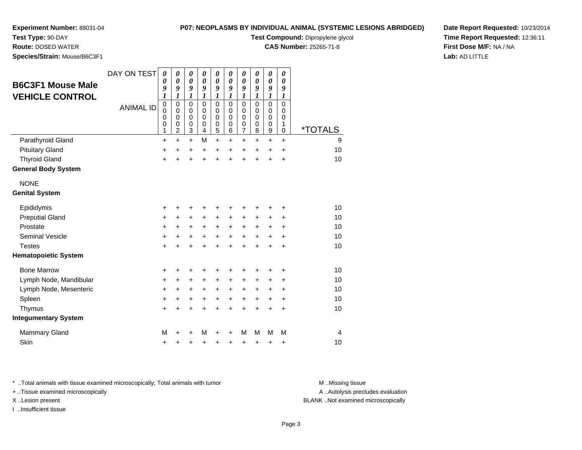**Test Type:** 90-DAY**Route:** DOSED WATER

## **P07: NEOPLASMS BY INDIVIDUAL ANIMAL (SYSTEMIC LESIONS ABRIDGED)**

**Test Compound:** Dipropylene glycol

**CAS Number:** 25265-71-8

**Date Report Requested:** 10/23/2014**Time Report Requested:** 12:36:11**First Dose M/F:** NA / NA**Lab:** AD LITTLE

 **Species/Strain:** Mouse/B6C3F1DAY ON TEST**B6C3F1 Mouse Male VEHICLE CONTROL**ANIMAL ID*0 0 9 1* 0 0 0 0 1 $\ddot{}$ *0 0 9 1* 0 0 0 0 2 $\ddot{}$ *0 0 9 1* 0 0 0 0 3 $\ddot{}$ *0 0 9 1* 0 0 0 0 4M *0 0 9 1* 0 0 0 0 5*0 0 9 1* 0 0 0 0 6 $\ddot{}$ *0 0 9 1* 0 0 0 0 7*0 0 9 1* 0 0 0 0 8*0 0 9 1* 0 0 0 0 9 $\ddot{}$ *0 0 9 1* 0 0 0 1 $\mathbf 0$ 0 \*TOTALSParathyroid Gland $\alpha$  + <sup>+</sup> <sup>+</sup> <sup>M</sup> <sup>+</sup> <sup>+</sup> <sup>+</sup> <sup>+</sup> <sup>+</sup> <sup>+</sup> <sup>9</sup> Pituitary Gland $\alpha$  + <sup>+</sup> <sup>+</sup> <sup>+</sup> <sup>+</sup> <sup>+</sup> <sup>+</sup> <sup>+</sup> <sup>+</sup> <sup>+</sup> <sup>10</sup> Thyroid Glandd  $+$  <sup>+</sup> <sup>+</sup> <sup>+</sup> <sup>+</sup> <sup>+</sup> <sup>+</sup> <sup>+</sup> <sup>+</sup> <sup>+</sup> <sup>10</sup> **General Body System**NONE **Genital System**Epididymis $\mathsf{S}$  + <sup>+</sup> <sup>+</sup> <sup>+</sup> <sup>+</sup> <sup>+</sup> <sup>+</sup> <sup>+</sup> <sup>+</sup> <sup>+</sup> <sup>10</sup> Preputial Gland $\alpha$  + <sup>+</sup> <sup>+</sup> <sup>+</sup> <sup>+</sup> <sup>+</sup> <sup>+</sup> <sup>+</sup> <sup>+</sup> <sup>+</sup> <sup>10</sup> Prostate $e$  + <sup>+</sup> <sup>+</sup> <sup>+</sup> <sup>+</sup> <sup>+</sup> <sup>+</sup> <sup>+</sup> <sup>+</sup> <sup>+</sup> <sup>10</sup> Seminal Vesiclee + <sup>+</sup> <sup>+</sup> <sup>+</sup> <sup>+</sup> <sup>+</sup> <sup>+</sup> <sup>+</sup> <sup>+</sup> <sup>+</sup> <sup>10</sup> **Testes**  <sup>+</sup> <sup>+</sup> <sup>+</sup> <sup>+</sup> <sup>+</sup> <sup>+</sup> <sup>+</sup> <sup>+</sup> <sup>+</sup> <sup>+</sup> <sup>10</sup> **Hematopoietic System**Bone Marrow <sup>+</sup> <sup>+</sup> <sup>+</sup> <sup>+</sup> <sup>+</sup> <sup>+</sup> <sup>+</sup> <sup>+</sup> <sup>+</sup> <sup>+</sup> <sup>10</sup> Lymph Node, Mandibularr + <sup>+</sup> <sup>+</sup> <sup>+</sup> <sup>+</sup> <sup>+</sup> <sup>+</sup> <sup>+</sup> <sup>+</sup> <sup>+</sup> <sup>10</sup> Lymph Node, Mesenteric $\circ$  + <sup>+</sup> <sup>+</sup> <sup>+</sup> <sup>+</sup> <sup>+</sup> <sup>+</sup> <sup>+</sup> <sup>+</sup> <sup>+</sup> <sup>10</sup> Spleenn  $+$  <sup>+</sup> <sup>+</sup> <sup>+</sup> <sup>+</sup> <sup>+</sup> <sup>+</sup> <sup>+</sup> <sup>+</sup> <sup>+</sup> <sup>10</sup> Thymus <sup>+</sup> <sup>+</sup> <sup>+</sup> <sup>+</sup> <sup>+</sup> <sup>+</sup> <sup>+</sup> <sup>+</sup> <sup>+</sup> <sup>+</sup> <sup>10</sup> **Integumentary System**Mammary Glandd M <sup>+</sup> <sup>+</sup> <sup>M</sup> <sup>+</sup> <sup>+</sup> <sup>M</sup> <sup>M</sup> <sup>M</sup> <sup>M</sup> <sup>4</sup>

\* ..Total animals with tissue examined microscopically; Total animals with tumor **M** ..Missing tissue M ..Missing tissue

n  $+$ 

+ ..Tissue examined microscopically

**Skin** 

I ..Insufficient tissue

A ..Autolysis precludes evaluation

X ..Lesion present BLANK ..Not examined microscopically

<sup>+</sup> <sup>+</sup> <sup>+</sup> <sup>+</sup> <sup>+</sup> <sup>+</sup> <sup>+</sup> <sup>+</sup> <sup>+</sup> <sup>10</sup>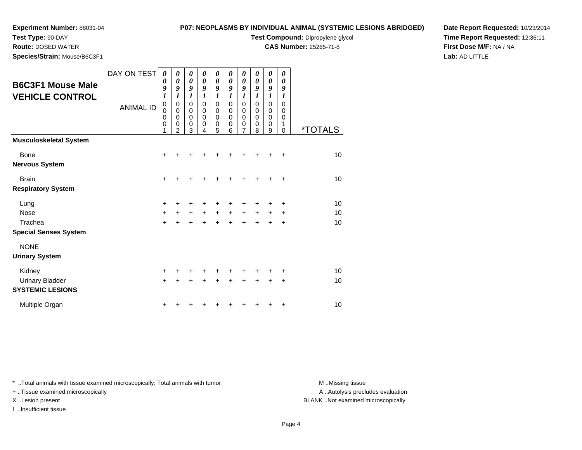# **Experiment Number:** 88031-04**Test Type:** 90-DAY

**Species/Strain:** Mouse/B6C3F1

**Route:** DOSED WATER

# **P07: NEOPLASMS BY INDIVIDUAL ANIMAL (SYSTEMIC LESIONS ABRIDGED)**

**Test Compound:** Dipropylene glycol

**CAS Number:** 25265-71-8

**Date Report Requested:** 10/23/2014**Time Report Requested:** 12:36:11**First Dose M/F:** NA / NA**Lab:** AD LITTLE

| DAY ON TEST      |                                                               |                                                                  |                            |                                           |                                 |                                      |                                                   |                                      |                            |                                      |                       |
|------------------|---------------------------------------------------------------|------------------------------------------------------------------|----------------------------|-------------------------------------------|---------------------------------|--------------------------------------|---------------------------------------------------|--------------------------------------|----------------------------|--------------------------------------|-----------------------|
|                  | 0<br>0<br>9                                                   | 0<br>$\boldsymbol{\theta}$<br>9                                  | 0<br>0<br>9                | 0<br>0<br>9                               | 0<br>$\boldsymbol{\theta}$<br>9 | 0<br>0<br>9                          | 0<br>$\boldsymbol{\theta}$<br>9                   | 0<br>0<br>9                          | 0<br>$\pmb{\theta}$<br>9   | 0<br>0<br>9                          |                       |
| <b>ANIMAL ID</b> | $\mathbf 0$<br>$\mathbf 0$<br>$\mathbf 0$<br>$\mathbf 0$<br>1 | $\mathbf 0$<br>0<br>$\mathbf 0$<br>$\mathbf 0$<br>$\mathfrak{p}$ | $\mathsf 0$<br>0<br>0<br>0 | $\mathbf 0$<br>0<br>$\mathbf 0$<br>0<br>4 | $\mathbf 0$<br>0<br>0<br>0      | $\mathbf 0$<br>0<br>$\mathbf 0$<br>0 | 0<br>0<br>0<br>$\boldsymbol{0}$<br>$\overline{7}$ | $\mathbf 0$<br>0<br>$\mathbf 0$<br>0 | $\mathbf 0$<br>0<br>0<br>0 | $\mathbf 0$<br>0<br>$\mathbf 0$<br>1 | <i><b>*TOTALS</b></i> |
|                  |                                                               |                                                                  |                            |                                           |                                 |                                      |                                                   |                                      |                            |                                      |                       |
|                  | $\ddot{}$                                                     |                                                                  |                            |                                           |                                 |                                      |                                                   |                                      |                            | ٠                                    | 10                    |
|                  | $\div$                                                        |                                                                  |                            |                                           |                                 |                                      |                                                   |                                      |                            | +                                    | 10                    |
|                  | $\ddot{}$<br>$\ddot{}$<br>$\ddot{}$                           |                                                                  | $\ddot{}$                  | $\ddot{}$                                 | $\ddot{}$<br>$\ddot{}$          | $+$                                  | $\ddot{}$                                         | $\pm$                                | +<br>+                     | ٠<br>٠<br>+                          | 10<br>10<br>10        |
|                  |                                                               |                                                                  |                            |                                           |                                 |                                      |                                                   |                                      |                            |                                      |                       |
|                  | +<br>$\ddot{}$                                                |                                                                  |                            |                                           |                                 |                                      |                                                   |                                      |                            | +<br>+                               | 10<br>10              |
|                  | +                                                             |                                                                  |                            |                                           |                                 |                                      |                                                   |                                      |                            | +                                    | 10                    |
|                  |                                                               | $\boldsymbol{l}$                                                 | 1                          | 1<br>3                                    | 1                               | 1<br>5                               | 1<br>6                                            | 1                                    | 1<br>8                     | 1<br>9                               | 1<br>0                |

\* ..Total animals with tissue examined microscopically; Total animals with tumor **M** . Missing tissue M ..Missing tissue

+ ..Tissue examined microscopically

I ..Insufficient tissue

A ..Autolysis precludes evaluation

X ..Lesion present BLANK ..Not examined microscopically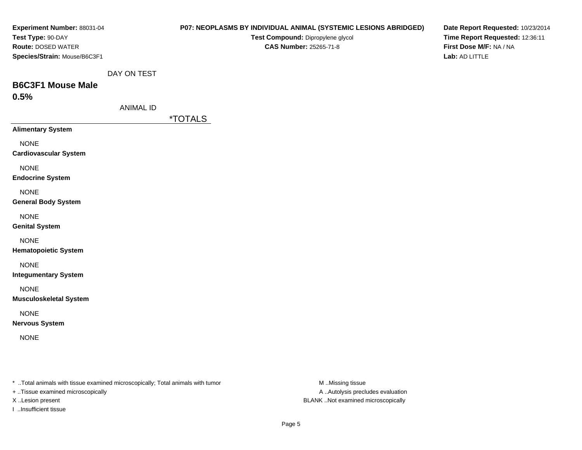| Experiment Number: 88031-04                                                    |                  | P07: NEOPLASMS BY INDIVIDUAL ANIMAL (SYSTEMIC LESIONS ABRIDGED) | Date Report Requested: 10/23/2014 |
|--------------------------------------------------------------------------------|------------------|-----------------------------------------------------------------|-----------------------------------|
| Test Type: 90-DAY                                                              |                  | Test Compound: Dipropylene glycol                               | Time Report Requested: 12:36:11   |
| Route: DOSED WATER                                                             |                  | <b>CAS Number: 25265-71-8</b>                                   | First Dose M/F: NA / NA           |
| Species/Strain: Mouse/B6C3F1                                                   |                  |                                                                 | Lab: AD LITTLE                    |
|                                                                                | DAY ON TEST      |                                                                 |                                   |
| <b>B6C3F1 Mouse Male</b>                                                       |                  |                                                                 |                                   |
| 0.5%                                                                           |                  |                                                                 |                                   |
|                                                                                | <b>ANIMAL ID</b> |                                                                 |                                   |
|                                                                                |                  | <i><b>*TOTALS</b></i>                                           |                                   |
| <b>Alimentary System</b>                                                       |                  |                                                                 |                                   |
| <b>NONE</b>                                                                    |                  |                                                                 |                                   |
| <b>Cardiovascular System</b>                                                   |                  |                                                                 |                                   |
| <b>NONE</b>                                                                    |                  |                                                                 |                                   |
| <b>Endocrine System</b>                                                        |                  |                                                                 |                                   |
| <b>NONE</b>                                                                    |                  |                                                                 |                                   |
| <b>General Body System</b>                                                     |                  |                                                                 |                                   |
|                                                                                |                  |                                                                 |                                   |
| <b>NONE</b><br><b>Genital System</b>                                           |                  |                                                                 |                                   |
|                                                                                |                  |                                                                 |                                   |
| <b>NONE</b>                                                                    |                  |                                                                 |                                   |
| <b>Hematopoietic System</b>                                                    |                  |                                                                 |                                   |
| <b>NONE</b>                                                                    |                  |                                                                 |                                   |
| <b>Integumentary System</b>                                                    |                  |                                                                 |                                   |
| <b>NONE</b>                                                                    |                  |                                                                 |                                   |
| <b>Musculoskeletal System</b>                                                  |                  |                                                                 |                                   |
| <b>NONE</b>                                                                    |                  |                                                                 |                                   |
| <b>Nervous System</b>                                                          |                  |                                                                 |                                   |
| <b>NONE</b>                                                                    |                  |                                                                 |                                   |
|                                                                                |                  |                                                                 |                                   |
|                                                                                |                  |                                                                 |                                   |
|                                                                                |                  |                                                                 |                                   |
| * Total animals with tissue examined microscopically; Total animals with tumor |                  | M Missing tissue                                                |                                   |

+ ..Tissue examined microscopically

I ..Insufficient tissue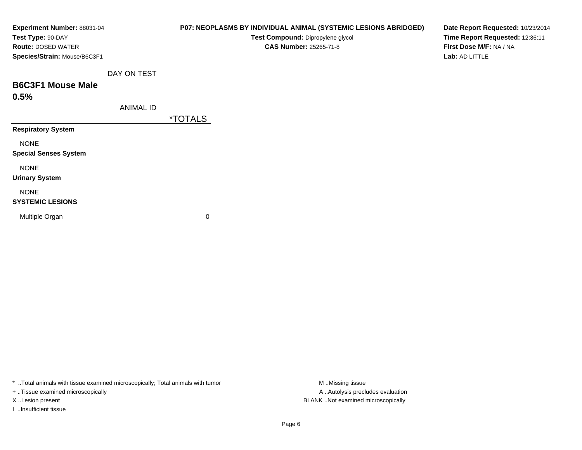| Experiment Number: 88031-04<br>Test Type: 90-DAY<br><b>Route: DOSED WATER</b> |                  |                       | P07: NEOPLASMS BY INDIVIDUAL ANIMAL (SYSTEMIC LESIONS ABRIDGED)<br>Test Compound: Dipropylene glycol<br><b>CAS Number: 25265-71-8</b> | Date Report Requested: 10/23/2014<br>Time Report Requested: 12:36:11<br>First Dose M/F: NA / NA |
|-------------------------------------------------------------------------------|------------------|-----------------------|---------------------------------------------------------------------------------------------------------------------------------------|-------------------------------------------------------------------------------------------------|
| Species/Strain: Mouse/B6C3F1                                                  |                  |                       |                                                                                                                                       | Lab: AD LITTLE                                                                                  |
|                                                                               | DAY ON TEST      |                       |                                                                                                                                       |                                                                                                 |
| <b>B6C3F1 Mouse Male</b>                                                      |                  |                       |                                                                                                                                       |                                                                                                 |
| 0.5%                                                                          |                  |                       |                                                                                                                                       |                                                                                                 |
|                                                                               | <b>ANIMAL ID</b> |                       |                                                                                                                                       |                                                                                                 |
|                                                                               |                  | <i><b>*TOTALS</b></i> |                                                                                                                                       |                                                                                                 |
| <b>Respiratory System</b>                                                     |                  |                       |                                                                                                                                       |                                                                                                 |
| <b>NONE</b>                                                                   |                  |                       |                                                                                                                                       |                                                                                                 |
| <b>Special Senses System</b>                                                  |                  |                       |                                                                                                                                       |                                                                                                 |
| <b>NONE</b>                                                                   |                  |                       |                                                                                                                                       |                                                                                                 |
| <b>Urinary System</b>                                                         |                  |                       |                                                                                                                                       |                                                                                                 |
| <b>NONE</b>                                                                   |                  |                       |                                                                                                                                       |                                                                                                 |
| <b>SYSTEMIC LESIONS</b>                                                       |                  |                       |                                                                                                                                       |                                                                                                 |
| Multiple Organ                                                                |                  | 0                     |                                                                                                                                       |                                                                                                 |
|                                                                               |                  |                       |                                                                                                                                       |                                                                                                 |

\* ..Total animals with tissue examined microscopically; Total animals with tumor M..Missing tissue M

+ ..Tissue examined microscopically

I ..Insufficient tissue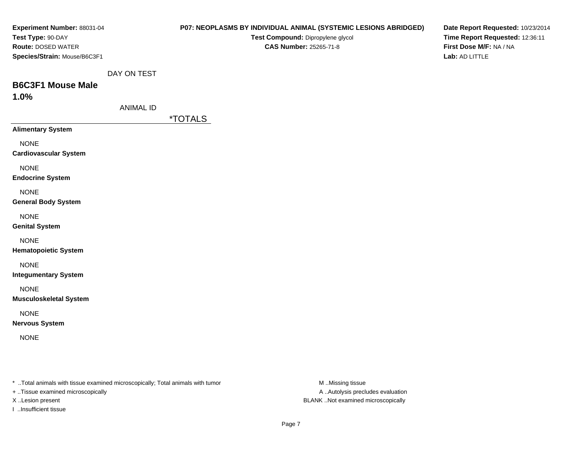| Experiment Number: 88031-04                                                    |                  | P07: NEOPLASMS BY INDIVIDUAL ANIMAL (SYSTEMIC LESIONS ABRIDGED) | Date Report Requested: 10/23/2014 |
|--------------------------------------------------------------------------------|------------------|-----------------------------------------------------------------|-----------------------------------|
| Test Type: 90-DAY                                                              |                  | Test Compound: Dipropylene glycol                               | Time Report Requested: 12:36:11   |
| Route: DOSED WATER                                                             |                  | <b>CAS Number: 25265-71-8</b>                                   | First Dose M/F: NA / NA           |
| Species/Strain: Mouse/B6C3F1                                                   |                  |                                                                 | Lab: AD LITTLE                    |
|                                                                                | DAY ON TEST      |                                                                 |                                   |
| <b>B6C3F1 Mouse Male</b>                                                       |                  |                                                                 |                                   |
| 1.0%                                                                           |                  |                                                                 |                                   |
|                                                                                | <b>ANIMAL ID</b> |                                                                 |                                   |
|                                                                                |                  | <i><b>*TOTALS</b></i>                                           |                                   |
| <b>Alimentary System</b>                                                       |                  |                                                                 |                                   |
| <b>NONE</b>                                                                    |                  |                                                                 |                                   |
| <b>Cardiovascular System</b>                                                   |                  |                                                                 |                                   |
| <b>NONE</b>                                                                    |                  |                                                                 |                                   |
| <b>Endocrine System</b>                                                        |                  |                                                                 |                                   |
| <b>NONE</b>                                                                    |                  |                                                                 |                                   |
| <b>General Body System</b>                                                     |                  |                                                                 |                                   |
| <b>NONE</b>                                                                    |                  |                                                                 |                                   |
| <b>Genital System</b>                                                          |                  |                                                                 |                                   |
| <b>NONE</b>                                                                    |                  |                                                                 |                                   |
| <b>Hematopoietic System</b>                                                    |                  |                                                                 |                                   |
| <b>NONE</b>                                                                    |                  |                                                                 |                                   |
| <b>Integumentary System</b>                                                    |                  |                                                                 |                                   |
|                                                                                |                  |                                                                 |                                   |
| <b>NONE</b><br><b>Musculoskeletal System</b>                                   |                  |                                                                 |                                   |
|                                                                                |                  |                                                                 |                                   |
| <b>NONE</b>                                                                    |                  |                                                                 |                                   |
| <b>Nervous System</b>                                                          |                  |                                                                 |                                   |
| <b>NONE</b>                                                                    |                  |                                                                 |                                   |
|                                                                                |                  |                                                                 |                                   |
|                                                                                |                  |                                                                 |                                   |
|                                                                                |                  |                                                                 |                                   |
| * Total animals with tissue examined microscopically; Total animals with tumor |                  | M Missing tissue                                                |                                   |

+ ..Tissue examined microscopically

I ..Insufficient tissue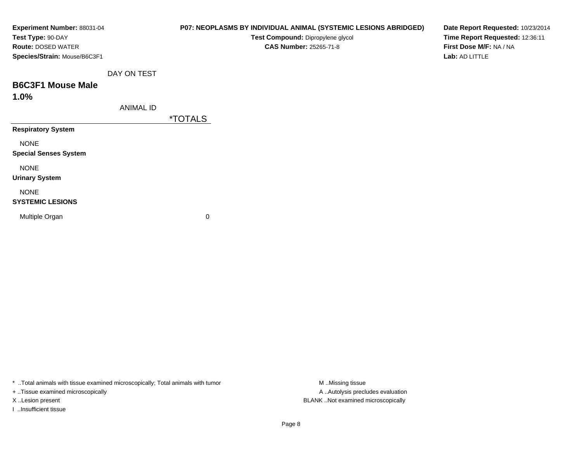| Experiment Number: 88031-04<br>Test Type: 90-DAY          |                  |                       | P07: NEOPLASMS BY INDIVIDUAL ANIMAL (SYSTEMIC LESIONS ABRIDGED)<br>Test Compound: Dipropylene glycol | Date Report Requested: 10/23/2014<br>Time Report Requested: 12:36:11 |
|-----------------------------------------------------------|------------------|-----------------------|------------------------------------------------------------------------------------------------------|----------------------------------------------------------------------|
| <b>Route: DOSED WATER</b><br>Species/Strain: Mouse/B6C3F1 |                  |                       | CAS Number: 25265-71-8                                                                               | First Dose M/F: NA / NA<br>Lab: AD LITTLE                            |
|                                                           | DAY ON TEST      |                       |                                                                                                      |                                                                      |
| <b>B6C3F1 Mouse Male</b><br>1.0%                          |                  |                       |                                                                                                      |                                                                      |
|                                                           | <b>ANIMAL ID</b> | <i><b>*TOTALS</b></i> |                                                                                                      |                                                                      |
| <b>Respiratory System</b>                                 |                  |                       |                                                                                                      |                                                                      |
| <b>NONE</b><br><b>Special Senses System</b>               |                  |                       |                                                                                                      |                                                                      |
| <b>NONE</b><br><b>Urinary System</b>                      |                  |                       |                                                                                                      |                                                                      |
| <b>NONE</b><br><b>SYSTEMIC LESIONS</b>                    |                  |                       |                                                                                                      |                                                                      |
| Multiple Organ                                            |                  | 0                     |                                                                                                      |                                                                      |

\* ..Total animals with tissue examined microscopically; Total animals with tumor M..Missing tissue M ..Missing tissue

+ ..Tissue examined microscopically

I ..Insufficient tissue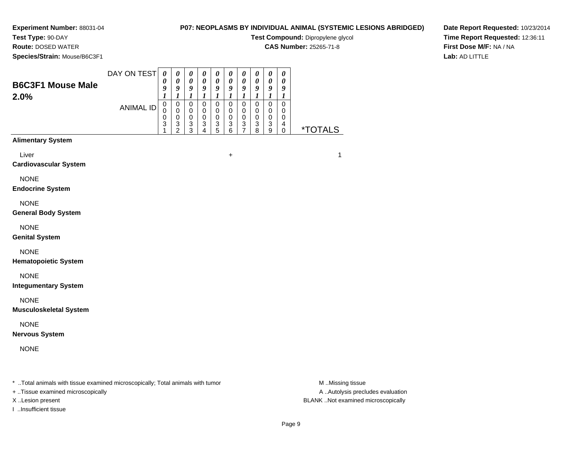## **Test Type:** 90-DAY

**Route:** DOSED WATER

**Species/Strain:** Mouse/B6C3F1

# **P07: NEOPLASMS BY INDIVIDUAL ANIMAL (SYSTEMIC LESIONS ABRIDGED)**

**Test Compound:** Dipropylene glycol

**CAS Number:** 25265-71-8

**Date Report Requested:** 10/23/2014**Time Report Requested:** 12:36:11**First Dose M/F:** NA / NA**Lab:** AD LITTLE

| <b>B6C3F1 Mouse Male</b><br>2.0%                                               | DAY ON TEST      | $\boldsymbol{\theta}$<br>0<br>9<br>$\boldsymbol{l}$ | 0<br>$\boldsymbol{\theta}$<br>9<br>$\boldsymbol{l}$            | $\boldsymbol{\theta}$<br>$\boldsymbol{\theta}$<br>9<br>$\boldsymbol{l}$ | $\boldsymbol{\theta}$<br>$\pmb{\theta}$<br>9<br>$\boldsymbol{l}$ | 0<br>$\pmb{\theta}$<br>9<br>$\boldsymbol{l}$   | $\boldsymbol{\theta}$<br>$\boldsymbol{\theta}$<br>9<br>$\boldsymbol{l}$     | $\boldsymbol{\theta}$<br>$\boldsymbol{\theta}$<br>9<br>$\boldsymbol{l}$ | $\boldsymbol{\theta}$<br>$\pmb{\theta}$<br>9<br>$\boldsymbol{l}$ | $\boldsymbol{\theta}$<br>0<br>9<br>$\boldsymbol{l}$                         | $\boldsymbol{\theta}$<br>0<br>9<br>1                          |                       |
|--------------------------------------------------------------------------------|------------------|-----------------------------------------------------|----------------------------------------------------------------|-------------------------------------------------------------------------|------------------------------------------------------------------|------------------------------------------------|-----------------------------------------------------------------------------|-------------------------------------------------------------------------|------------------------------------------------------------------|-----------------------------------------------------------------------------|---------------------------------------------------------------|-----------------------|
|                                                                                | <b>ANIMAL ID</b> | $\mathsf 0$<br>$\Omega$<br>0<br>3                   | $\mathsf 0$<br>$\mathbf 0$<br>$\pmb{0}$<br>3<br>$\overline{2}$ | $\mathbf 0$<br>$\mathbf 0$<br>$\mathbf 0$<br>3<br>$\overline{3}$        | $\mathsf 0$<br>$\mathbf 0$<br>$\mathbf 0$<br>3<br>4              | $\mathbf 0$<br>$\pmb{0}$<br>0<br>$\frac{3}{5}$ | $\mathbf 0$<br>$\mathbf 0$<br>$\mathbf 0$<br>$\ensuremath{\mathsf{3}}$<br>6 | $\mathbf 0$<br>$\mathbf 0$<br>$\mathbf 0$<br>3<br>$\overline{7}$        | $\mathbf 0$<br>$\mathbf 0$<br>$\mathbf 0$<br>3<br>8              | $\mathbf 0$<br>$\mathbf 0$<br>$\mathbf 0$<br>$\ensuremath{\mathsf{3}}$<br>9 | $\mathbf 0$<br>$\mathbf 0$<br>$\mathbf 0$<br>4<br>$\mathbf 0$ | <i><b>*TOTALS</b></i> |
| <b>Alimentary System</b>                                                       |                  |                                                     |                                                                |                                                                         |                                                                  |                                                |                                                                             |                                                                         |                                                                  |                                                                             |                                                               |                       |
| Liver<br><b>Cardiovascular System</b>                                          |                  |                                                     |                                                                |                                                                         |                                                                  |                                                | $\ddot{}$                                                                   |                                                                         |                                                                  |                                                                             |                                                               | $\mathbf{1}$          |
| <b>NONE</b><br><b>Endocrine System</b>                                         |                  |                                                     |                                                                |                                                                         |                                                                  |                                                |                                                                             |                                                                         |                                                                  |                                                                             |                                                               |                       |
| <b>NONE</b><br><b>General Body System</b>                                      |                  |                                                     |                                                                |                                                                         |                                                                  |                                                |                                                                             |                                                                         |                                                                  |                                                                             |                                                               |                       |
| <b>NONE</b><br><b>Genital System</b>                                           |                  |                                                     |                                                                |                                                                         |                                                                  |                                                |                                                                             |                                                                         |                                                                  |                                                                             |                                                               |                       |
| <b>NONE</b><br><b>Hematopoietic System</b>                                     |                  |                                                     |                                                                |                                                                         |                                                                  |                                                |                                                                             |                                                                         |                                                                  |                                                                             |                                                               |                       |
| <b>NONE</b><br><b>Integumentary System</b>                                     |                  |                                                     |                                                                |                                                                         |                                                                  |                                                |                                                                             |                                                                         |                                                                  |                                                                             |                                                               |                       |
| <b>NONE</b><br><b>Musculoskeletal System</b>                                   |                  |                                                     |                                                                |                                                                         |                                                                  |                                                |                                                                             |                                                                         |                                                                  |                                                                             |                                                               |                       |
| <b>NONE</b><br><b>Nervous System</b>                                           |                  |                                                     |                                                                |                                                                         |                                                                  |                                                |                                                                             |                                                                         |                                                                  |                                                                             |                                                               |                       |
| <b>NONE</b>                                                                    |                  |                                                     |                                                                |                                                                         |                                                                  |                                                |                                                                             |                                                                         |                                                                  |                                                                             |                                                               |                       |
| * Total animals with tissue examined microscopically; Total animals with tumor |                  |                                                     |                                                                |                                                                         |                                                                  |                                                |                                                                             |                                                                         |                                                                  |                                                                             |                                                               | M Missing tissue      |

+ ..Tissue examined microscopically

I ..Insufficient tissue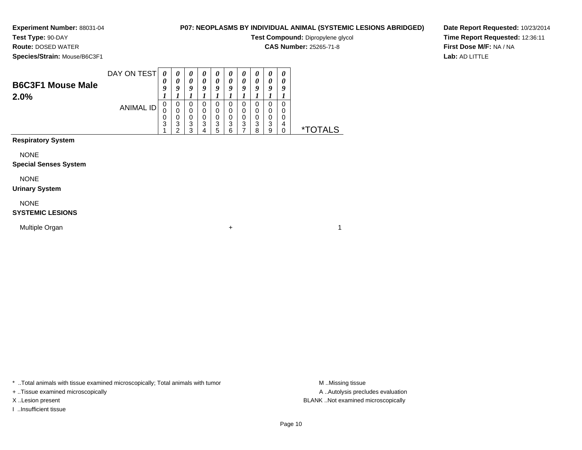**Test Type:** 90-DAY**Route:** DOSED WATER

# **P07: NEOPLASMS BY INDIVIDUAL ANIMAL (SYSTEMIC LESIONS ABRIDGED)**

**Test Compound:** Dipropylene glycol

**CAS Number:** 25265-71-8

**Date Report Requested:** 10/23/2014**Time Report Requested:** 12:36:11**First Dose M/F:** NA / NA**Lab:** AD LITTLE

**Species/Strain:** Mouse/B6C3F1

| <b>B6C3F1 Mouse Male</b><br>2.0% | DAY ON TEST | U                | $\boldsymbol{\theta}$<br>O | $\boldsymbol{\theta}$<br>0<br>Q | $\boldsymbol{\theta}$<br>0<br>0 | U<br>0<br>Q           | U<br>u           | $\boldsymbol{\theta}$<br>o | u      |        | U<br>U |       |
|----------------------------------|-------------|------------------|----------------------------|---------------------------------|---------------------------------|-----------------------|------------------|----------------------------|--------|--------|--------|-------|
|                                  | ANIMAL ID   | O<br>0<br>0<br>3 | 0<br>3<br>ີ                | 0<br>0<br>0<br>3<br>っ           | 0<br>0<br>3                     | 0<br>0<br>0<br>3<br>5 | U<br>O<br>3<br>⌒ | O<br>0<br>0<br>3           | 3<br>ິ | 3<br>a | д      | TAI S |

# **Respiratory System**

NONE

### **Special Senses System**

NONE

### **Urinary System**

NONE

## **SYSTEMIC LESIONS**

Multiple Organn  $+$ 

\* ..Total animals with tissue examined microscopically; Total animals with tumor **M** ...Missing tissue M ...Missing tissue

+ ..Tissue examined microscopically

I ..Insufficient tissue

A .. Autolysis precludes evaluation X ..Lesion present BLANK ..Not examined microscopically

 $\overline{1}$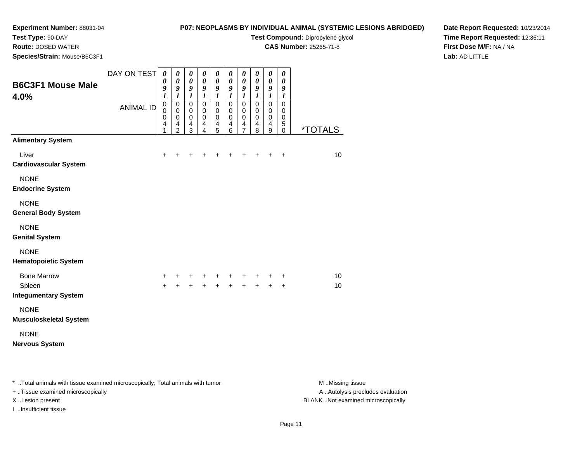# **Test Type:** 90-DAY

**Route:** DOSED WATER

**Species/Strain:** Mouse/B6C3F1

## **P07: NEOPLASMS BY INDIVIDUAL ANIMAL (SYSTEMIC LESIONS ABRIDGED)**

**Test Compound:** Dipropylene glycol

**CAS Number:** 25265-71-8

**Date Report Requested:** 10/23/2014**Time Report Requested:** 12:36:11**First Dose M/F:** NA / NA**Lab:** AD LITTLE

| <b>B6C3F1 Mouse Male</b><br>4.0%                            | DAY ON TEST<br><b>ANIMAL ID</b> | $\boldsymbol{\theta}$<br>0<br>9<br>1<br>$\pmb{0}$<br>$\mathbf 0$<br>$\mathbf 0$<br>4<br>1 | $\boldsymbol{\theta}$<br>$\pmb{\theta}$<br>$\boldsymbol{g}$<br>$\boldsymbol{l}$<br>$\pmb{0}$<br>$\mathbf 0$<br>$\mathbf 0$<br>$\overline{4}$<br>$\overline{2}$ | $\boldsymbol{\theta}$<br>$\pmb{\theta}$<br>$\boldsymbol{g}$<br>$\boldsymbol{l}$<br>$\pmb{0}$<br>$\mathbf 0$<br>$\pmb{0}$<br>$\overline{\mathbf{4}}$<br>3 | 0<br>$\pmb{\theta}$<br>$\boldsymbol{g}$<br>$\boldsymbol{l}$<br>$\pmb{0}$<br>$\mathbf 0$<br>$\pmb{0}$<br>$\overline{\mathbf{4}}$<br>4 | 0<br>$\pmb{\theta}$<br>$\boldsymbol{g}$<br>$\boldsymbol{l}$<br>$\mathbf 0$<br>$\pmb{0}$<br>$\pmb{0}$<br>$\overline{\mathbf{r}}$<br>5 | $\pmb{\theta}$<br>$\pmb{\theta}$<br>9<br>$\boldsymbol{l}$<br>$\mathbf 0$<br>$\pmb{0}$<br>$\pmb{0}$<br>$\overline{\mathbf{4}}$<br>6 | $\pmb{\theta}$<br>$\pmb{\theta}$<br>9<br>$\boldsymbol{l}$<br>$\mathbf 0$<br>$\pmb{0}$<br>$\pmb{0}$<br>$\frac{4}{7}$ | $\boldsymbol{\theta}$<br>$\pmb{\theta}$<br>9<br>$\boldsymbol{l}$<br>$\mathbf 0$<br>0<br>$\pmb{0}$<br>4<br>8 | $\pmb{\theta}$<br>$\pmb{\theta}$<br>$\boldsymbol{g}$<br>$\boldsymbol{l}$<br>$\mathbf 0$<br>$\pmb{0}$<br>$\pmb{0}$<br>$\overline{\mathbf{r}}$<br>$\boldsymbol{9}$ | $\boldsymbol{\theta}$<br>$\boldsymbol{\theta}$<br>$\boldsymbol{g}$<br>$\boldsymbol{l}$<br>$\mathbf 0$<br>$\mathbf 0$<br>$\mathbf 0$<br>$\mathbf 5$<br>$\mathbf 0$ | <i><b>*TOTALS</b></i> |
|-------------------------------------------------------------|---------------------------------|-------------------------------------------------------------------------------------------|----------------------------------------------------------------------------------------------------------------------------------------------------------------|----------------------------------------------------------------------------------------------------------------------------------------------------------|--------------------------------------------------------------------------------------------------------------------------------------|--------------------------------------------------------------------------------------------------------------------------------------|------------------------------------------------------------------------------------------------------------------------------------|---------------------------------------------------------------------------------------------------------------------|-------------------------------------------------------------------------------------------------------------|------------------------------------------------------------------------------------------------------------------------------------------------------------------|-------------------------------------------------------------------------------------------------------------------------------------------------------------------|-----------------------|
| <b>Alimentary System</b>                                    |                                 |                                                                                           |                                                                                                                                                                |                                                                                                                                                          |                                                                                                                                      |                                                                                                                                      |                                                                                                                                    |                                                                                                                     |                                                                                                             |                                                                                                                                                                  |                                                                                                                                                                   |                       |
| Liver<br><b>Cardiovascular System</b>                       |                                 | $\ddot{}$                                                                                 | $\ddot{}$                                                                                                                                                      | $\ddot{}$                                                                                                                                                | +                                                                                                                                    | +                                                                                                                                    | +                                                                                                                                  | +                                                                                                                   | +                                                                                                           | $\ddot{}$                                                                                                                                                        | $\ddot{}$                                                                                                                                                         | 10                    |
| <b>NONE</b><br><b>Endocrine System</b>                      |                                 |                                                                                           |                                                                                                                                                                |                                                                                                                                                          |                                                                                                                                      |                                                                                                                                      |                                                                                                                                    |                                                                                                                     |                                                                                                             |                                                                                                                                                                  |                                                                                                                                                                   |                       |
| <b>NONE</b><br><b>General Body System</b>                   |                                 |                                                                                           |                                                                                                                                                                |                                                                                                                                                          |                                                                                                                                      |                                                                                                                                      |                                                                                                                                    |                                                                                                                     |                                                                                                             |                                                                                                                                                                  |                                                                                                                                                                   |                       |
| <b>NONE</b><br><b>Genital System</b>                        |                                 |                                                                                           |                                                                                                                                                                |                                                                                                                                                          |                                                                                                                                      |                                                                                                                                      |                                                                                                                                    |                                                                                                                     |                                                                                                             |                                                                                                                                                                  |                                                                                                                                                                   |                       |
| <b>NONE</b><br><b>Hematopoietic System</b>                  |                                 |                                                                                           |                                                                                                                                                                |                                                                                                                                                          |                                                                                                                                      |                                                                                                                                      |                                                                                                                                    |                                                                                                                     |                                                                                                             |                                                                                                                                                                  |                                                                                                                                                                   |                       |
| <b>Bone Marrow</b><br>Spleen<br><b>Integumentary System</b> |                                 | +<br>$\ddot{}$                                                                            | $^+$                                                                                                                                                           | $\ddot{}$<br>$+$                                                                                                                                         |                                                                                                                                      | + + + + + +<br>+ + + + + +                                                                                                           |                                                                                                                                    |                                                                                                                     |                                                                                                             |                                                                                                                                                                  | +<br>$\ddot{}$                                                                                                                                                    | 10<br>10              |
| <b>NONE</b><br><b>Musculoskeletal System</b>                |                                 |                                                                                           |                                                                                                                                                                |                                                                                                                                                          |                                                                                                                                      |                                                                                                                                      |                                                                                                                                    |                                                                                                                     |                                                                                                             |                                                                                                                                                                  |                                                                                                                                                                   |                       |
| <b>NONE</b><br><b>Nervous System</b>                        |                                 |                                                                                           |                                                                                                                                                                |                                                                                                                                                          |                                                                                                                                      |                                                                                                                                      |                                                                                                                                    |                                                                                                                     |                                                                                                             |                                                                                                                                                                  |                                                                                                                                                                   |                       |

\* ..Total animals with tissue examined microscopically; Total animals with tumor **M** . Missing tissue M ..Missing tissue A ..Autolysis precludes evaluation + ..Tissue examined microscopically X ..Lesion present BLANK ..Not examined microscopicallyI ..Insufficient tissue

Page 11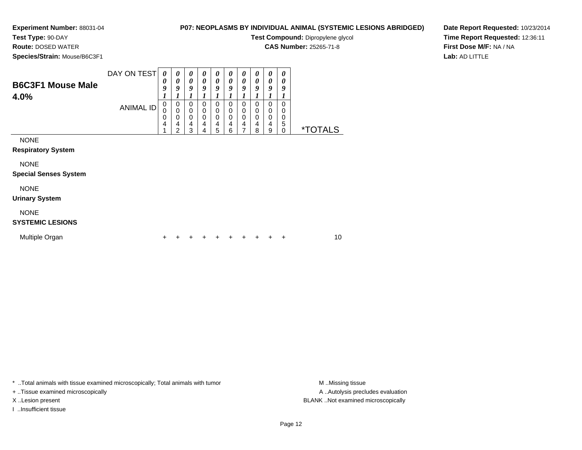# **Test Type:** 90-DAY

**Route:** DOSED WATER

**Species/Strain:** Mouse/B6C3F1

# **P07: NEOPLASMS BY INDIVIDUAL ANIMAL (SYSTEMIC LESIONS ABRIDGED)**

**Test Compound:** Dipropylene glycol

**CAS Number:** 25265-71-8

**Date Report Requested:** 10/23/2014**Time Report Requested:** 12:36:11**First Dose M/F:** NA / NA**Lab:** AD LITTLE

| <b>B6C3F1 Mouse Male</b><br>4.0%            | DAY ON TEST<br><b>ANIMAL ID</b> | 0<br>0<br>9<br>$\boldsymbol{l}$<br>$\mathbf 0$<br>$\mathbf 0$<br>0<br>4 | 0<br>0<br>9<br>1<br>$\mathbf 0$<br>$\mathbf 0$<br>$\mathbf 0$<br>4 | 0<br>$\boldsymbol{\theta}$<br>9<br>1<br>$\mathbf 0$<br>$\mathbf 0$<br>$\mathbf 0$<br>$\overline{4}$ | 0<br>$\boldsymbol{\theta}$<br>9<br>$\mathbf 0$<br>$\mathbf 0$<br>$\mathbf 0$<br>4 | 0<br>$\boldsymbol{\theta}$<br>9<br>1<br>$\mathbf 0$<br>$\mathbf 0$<br>$\pmb{0}$<br>4 | 0<br>0<br>9<br>$\mathbf 0$<br>$\mathbf 0$<br>$\mathbf 0$<br>4 | 0<br>$\boldsymbol{\theta}$<br>9<br>$\mathbf 0$<br>$\pmb{0}$<br>$\pmb{0}$<br>$\overline{4}$ | 0<br>$\boldsymbol{\theta}$<br>9<br>$\Omega$<br>0<br>0<br>4 | 0<br>0<br>9<br>$\mathbf 0$<br>$\mathbf 0$<br>$\mathbf 0$<br>$\overline{4}$ | 0<br>0<br>9<br>$\Omega$<br>0<br>0<br>5 |                       |
|---------------------------------------------|---------------------------------|-------------------------------------------------------------------------|--------------------------------------------------------------------|-----------------------------------------------------------------------------------------------------|-----------------------------------------------------------------------------------|--------------------------------------------------------------------------------------|---------------------------------------------------------------|--------------------------------------------------------------------------------------------|------------------------------------------------------------|----------------------------------------------------------------------------|----------------------------------------|-----------------------|
|                                             |                                 |                                                                         | 2                                                                  | 3                                                                                                   | 4                                                                                 | 5                                                                                    | 6                                                             | 7                                                                                          | 8                                                          | $\boldsymbol{9}$                                                           | 0                                      | <i><b>*TOTALS</b></i> |
| <b>NONE</b><br><b>Respiratory System</b>    |                                 |                                                                         |                                                                    |                                                                                                     |                                                                                   |                                                                                      |                                                               |                                                                                            |                                                            |                                                                            |                                        |                       |
| <b>NONE</b><br><b>Special Senses System</b> |                                 |                                                                         |                                                                    |                                                                                                     |                                                                                   |                                                                                      |                                                               |                                                                                            |                                                            |                                                                            |                                        |                       |
| <b>NONE</b><br><b>Urinary System</b>        |                                 |                                                                         |                                                                    |                                                                                                     |                                                                                   |                                                                                      |                                                               |                                                                                            |                                                            |                                                                            |                                        |                       |
| <b>NONE</b><br><b>SYSTEMIC LESIONS</b>      |                                 |                                                                         |                                                                    |                                                                                                     |                                                                                   |                                                                                      |                                                               |                                                                                            |                                                            |                                                                            |                                        |                       |
| Multiple Organ                              |                                 | +                                                                       |                                                                    |                                                                                                     |                                                                                   |                                                                                      |                                                               |                                                                                            |                                                            |                                                                            | +                                      | 10                    |

\* ..Total animals with tissue examined microscopically; Total animals with tumor **M** . Missing tissue M ..Missing tissue

+ ..Tissue examined microscopically

I ..Insufficient tissue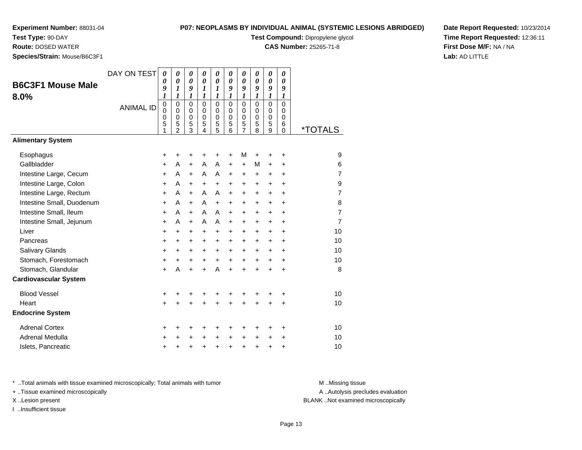**Test Type:** 90-DAY

**Route:** DOSED WATER

**Species/Strain:** Mouse/B6C3F1

## **P07: NEOPLASMS BY INDIVIDUAL ANIMAL (SYSTEMIC LESIONS ABRIDGED)**

**Test Compound:** Dipropylene glycol

**CAS Number:** 25265-71-8

**Date Report Requested:** 10/23/2014**Time Report Requested:** 12:36:11**First Dose M/F:** NA / NA**Lab:** AD LITTLE

| <b>B6C3F1 Mouse Male</b><br>8.0% | DAY ON TEST<br><b>ANIMAL ID</b> | $\boldsymbol{\theta}$<br>0<br>9<br>1<br>$\pmb{0}$<br>0<br>0<br>5<br>1 | $\boldsymbol{\theta}$<br>$\boldsymbol{\theta}$<br>$\boldsymbol{l}$<br>1<br>$\mathbf 0$<br>$\mathbf 0$<br>$\pmb{0}$<br>5<br>$\mathcal{P}$ | 0<br>$\boldsymbol{\theta}$<br>9<br>1<br>$\mathbf 0$<br>$\mathbf 0$<br>$\pmb{0}$<br>5<br>$\overline{3}$ | 0<br>$\boldsymbol{\theta}$<br>$\boldsymbol{l}$<br>$\boldsymbol{l}$<br>$\mathbf 0$<br>$\mathbf 0$<br>$\mathbf 0$<br>5<br>$\overline{\mathbf{A}}$ | 0<br>$\boldsymbol{\theta}$<br>1<br>1<br>$\mathbf 0$<br>$\mathbf 0$<br>$\pmb{0}$<br>5<br>5 | 0<br>0<br>9<br>$\boldsymbol{l}$<br>$\Omega$<br>$\mathbf 0$<br>$\mathbf 0$<br>5<br>6 | 0<br>$\boldsymbol{\theta}$<br>9<br>$\boldsymbol{l}$<br>$\mathbf 0$<br>$\mathbf 0$<br>0<br>$\frac{5}{7}$ | 0<br>$\boldsymbol{\theta}$<br>9<br>1<br>0<br>$\mathbf 0$<br>0<br>5<br>8 | 0<br>$\boldsymbol{\theta}$<br>9<br>$\boldsymbol{l}$<br>$\overline{0}$<br>0<br>$\boldsymbol{0}$<br>5<br>$\overline{9}$ | 0<br>0<br>9<br>1<br>$\mathbf 0$<br>0<br>0<br>6<br>$\Omega$ | <i><b>*TOTALS</b></i> |
|----------------------------------|---------------------------------|-----------------------------------------------------------------------|------------------------------------------------------------------------------------------------------------------------------------------|--------------------------------------------------------------------------------------------------------|-------------------------------------------------------------------------------------------------------------------------------------------------|-------------------------------------------------------------------------------------------|-------------------------------------------------------------------------------------|---------------------------------------------------------------------------------------------------------|-------------------------------------------------------------------------|-----------------------------------------------------------------------------------------------------------------------|------------------------------------------------------------|-----------------------|
| <b>Alimentary System</b>         |                                 |                                                                       |                                                                                                                                          |                                                                                                        |                                                                                                                                                 |                                                                                           |                                                                                     |                                                                                                         |                                                                         |                                                                                                                       |                                                            |                       |
| Esophagus                        |                                 | +                                                                     | +                                                                                                                                        | +                                                                                                      | +                                                                                                                                               | +                                                                                         | +                                                                                   | M                                                                                                       | +                                                                       | +                                                                                                                     | +                                                          | 9                     |
| Gallbladder                      |                                 | $\ddot{}$                                                             | A                                                                                                                                        | $+$                                                                                                    | A                                                                                                                                               | A                                                                                         | $\ddot{}$                                                                           | $\ddot{}$                                                                                               | М                                                                       | +                                                                                                                     | +                                                          | 6                     |
| Intestine Large, Cecum           |                                 | $\ddot{}$                                                             | A                                                                                                                                        | $\ddot{}$                                                                                              | A                                                                                                                                               | A                                                                                         | $\ddot{}$                                                                           | $\ddot{}$                                                                                               | $\ddot{}$                                                               | $\ddot{}$                                                                                                             | $\ddot{}$                                                  | $\overline{7}$        |
| Intestine Large, Colon           |                                 | $\ddot{}$                                                             | A                                                                                                                                        | $\ddot{}$                                                                                              | $\ddot{}$                                                                                                                                       | $\ddot{}$                                                                                 | $\ddot{}$                                                                           | $\ddot{}$                                                                                               | $+$                                                                     | $\ddot{}$                                                                                                             | ÷                                                          | 9                     |
| Intestine Large, Rectum          |                                 | $\ddot{}$                                                             | A                                                                                                                                        | $\ddot{}$                                                                                              | A                                                                                                                                               | A                                                                                         | $\ddot{}$                                                                           | $\ddot{}$                                                                                               | $\ddot{}$                                                               | $\ddot{}$                                                                                                             | $\ddot{}$                                                  | $\overline{7}$        |
| Intestine Small, Duodenum        |                                 | $\ddot{}$                                                             | A                                                                                                                                        | $\ddot{}$                                                                                              | A                                                                                                                                               | $+$                                                                                       | $\ddot{}$                                                                           | $\ddot{}$                                                                                               | $\ddot{}$                                                               | $\ddot{}$                                                                                                             | $\ddot{}$                                                  | 8                     |
| Intestine Small, Ileum           |                                 | +                                                                     | A                                                                                                                                        | $+$                                                                                                    | A                                                                                                                                               | A                                                                                         | $\ddot{}$                                                                           | $\ddot{}$                                                                                               | +                                                                       | +                                                                                                                     | $\ddot{}$                                                  | $\overline{7}$        |
| Intestine Small, Jejunum         |                                 | +                                                                     | A                                                                                                                                        | $+$                                                                                                    | A                                                                                                                                               | A                                                                                         | $\ddot{}$                                                                           | $\ddot{}$                                                                                               | $\ddot{}$                                                               | $\pm$                                                                                                                 | +                                                          | $\overline{7}$        |
| Liver                            |                                 | +                                                                     | $\ddot{}$                                                                                                                                | $\ddot{}$                                                                                              | $\ddot{}$                                                                                                                                       | $\ddot{}$                                                                                 | $\ddot{}$                                                                           | $\ddot{}$                                                                                               | $\ddot{}$                                                               | $\ddot{}$                                                                                                             | $\ddot{}$                                                  | 10                    |
| Pancreas                         |                                 | +                                                                     | +                                                                                                                                        | +                                                                                                      | +                                                                                                                                               | $\ddot{}$                                                                                 | $\ddot{}$                                                                           | $\ddot{}$                                                                                               | $\ddot{}$                                                               | $\pm$                                                                                                                 | $\ddot{}$                                                  | 10                    |
| Salivary Glands                  |                                 | +                                                                     | +                                                                                                                                        | $\ddot{}$                                                                                              | $\ddot{}$                                                                                                                                       | $\ddot{}$                                                                                 | $\ddot{}$                                                                           | $\ddot{}$                                                                                               | $\ddot{}$                                                               | $\ddot{}$                                                                                                             | $\ddot{}$                                                  | 10                    |
| Stomach, Forestomach             |                                 | +                                                                     | +                                                                                                                                        | +                                                                                                      | $\ddot{}$                                                                                                                                       | $\ddot{}$                                                                                 | $\ddot{}$                                                                           | $\ddot{}$                                                                                               | $\ddot{}$                                                               | +                                                                                                                     | +                                                          | 10                    |
| Stomach, Glandular               |                                 | $\ddot{}$                                                             | A                                                                                                                                        | $\ddot{}$                                                                                              | $\ddot{}$                                                                                                                                       | A                                                                                         | $\ddot{}$                                                                           | $\ddot{}$                                                                                               | $\ddot{}$                                                               | +                                                                                                                     | +                                                          | 8                     |
| <b>Cardiovascular System</b>     |                                 |                                                                       |                                                                                                                                          |                                                                                                        |                                                                                                                                                 |                                                                                           |                                                                                     |                                                                                                         |                                                                         |                                                                                                                       |                                                            |                       |
| <b>Blood Vessel</b>              |                                 | +                                                                     | +                                                                                                                                        | +                                                                                                      | +                                                                                                                                               | +                                                                                         | +                                                                                   | +                                                                                                       | +                                                                       | +                                                                                                                     | +                                                          | 10                    |
| Heart                            |                                 | $\ddot{}$                                                             |                                                                                                                                          |                                                                                                        |                                                                                                                                                 |                                                                                           |                                                                                     | ÷                                                                                                       |                                                                         | $\ddot{}$                                                                                                             | $\ddot{}$                                                  | 10                    |
| <b>Endocrine System</b>          |                                 |                                                                       |                                                                                                                                          |                                                                                                        |                                                                                                                                                 |                                                                                           |                                                                                     |                                                                                                         |                                                                         |                                                                                                                       |                                                            |                       |
| <b>Adrenal Cortex</b>            |                                 | +                                                                     | +                                                                                                                                        | +                                                                                                      | +                                                                                                                                               | +                                                                                         | +                                                                                   | +                                                                                                       | ٠                                                                       | ٠                                                                                                                     | +                                                          | 10                    |
| Adrenal Medulla                  |                                 | +                                                                     |                                                                                                                                          |                                                                                                        |                                                                                                                                                 | +                                                                                         | $\ddot{}$                                                                           | $\ddot{}$                                                                                               | $\ddot{}$                                                               | +                                                                                                                     | +                                                          | 10                    |
| Islets, Pancreatic               |                                 | +                                                                     | +                                                                                                                                        | +                                                                                                      | +                                                                                                                                               | +                                                                                         | +                                                                                   | +                                                                                                       | +                                                                       | +                                                                                                                     | +                                                          | 10                    |

\* ..Total animals with tissue examined microscopically; Total animals with tumor **M** . Missing tissue M ..Missing tissue

+ ..Tissue examined microscopically

I ..Insufficient tissue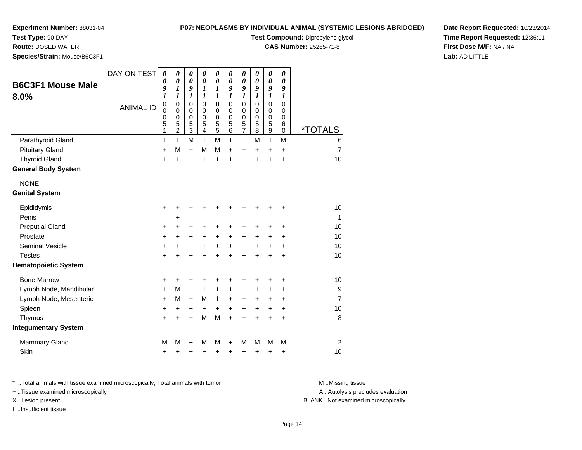**Test Type:** 90-DAY

**Route:** DOSED WATER

**Species/Strain:** Mouse/B6C3F1

## **P07: NEOPLASMS BY INDIVIDUAL ANIMAL (SYSTEMIC LESIONS ABRIDGED)**

**Test Compound:** Dipropylene glycol

**CAS Number:** 25265-71-8

**Date Report Requested:** 10/23/2014**Time Report Requested:** 12:36:11**First Dose M/F:** NA / NA**Lab:** AD LITTLE

| <b>B6C3F1 Mouse Male</b>    | DAY ON TEST      | 0<br>0                        | $\pmb{\theta}$<br>0                                              | $\boldsymbol{\theta}$<br>0                   | $\boldsymbol{\theta}$<br>$\boldsymbol{\theta}$ | 0<br>0                                           | $\boldsymbol{\theta}$<br>0                | $\boldsymbol{\theta}$<br>0                             | $\pmb{\theta}$<br>0                       | $\boldsymbol{\theta}$<br>0                             | $\pmb{\theta}$<br>0             |                       |
|-----------------------------|------------------|-------------------------------|------------------------------------------------------------------|----------------------------------------------|------------------------------------------------|--------------------------------------------------|-------------------------------------------|--------------------------------------------------------|-------------------------------------------|--------------------------------------------------------|---------------------------------|-----------------------|
| 8.0%                        |                  | 9<br>$\boldsymbol{l}$         | $\boldsymbol{l}$<br>1                                            | 9<br>1                                       | 1<br>1                                         | 1<br>1                                           | 9<br>1                                    | 9<br>1                                                 | 9<br>1                                    | 9<br>$\boldsymbol{l}$                                  | 9<br>1                          |                       |
|                             | <b>ANIMAL ID</b> | $\pmb{0}$<br>0<br>0<br>5<br>1 | $\mathbf 0$<br>$\mathbf 0$<br>$\mathbf 0$<br>5<br>$\overline{2}$ | $\mathbf 0$<br>0<br>0<br>5<br>$\overline{3}$ | $\mathbf 0$<br>0<br>$\mathbf 0$<br>5<br>4      | $\mathbf 0$<br>0<br>$\mathbf 0$<br>$\frac{5}{5}$ | $\mathbf 0$<br>0<br>$\mathbf 0$<br>5<br>6 | $\mathbf 0$<br>0<br>$\mathbf 0$<br>5<br>$\overline{7}$ | $\mathbf 0$<br>0<br>$\mathbf 0$<br>5<br>8 | $\mathbf 0$<br>0<br>$\mathbf 0$<br>5<br>$\overline{9}$ | 0<br>0<br>$\mathbf 0$<br>6<br>0 | <i><b>*TOTALS</b></i> |
| Parathyroid Gland           |                  | $\ddot{}$                     | $+$                                                              | M                                            | $\ddot{}$                                      | M                                                | $\ddot{}$                                 | $\ddot{}$                                              | м                                         | $+$                                                    | M                               | 6                     |
| <b>Pituitary Gland</b>      |                  | $\ddot{}$                     | M                                                                | $\ddot{}$                                    | M                                              | M                                                | +                                         | +                                                      | +                                         | +                                                      | +                               | $\overline{7}$        |
| <b>Thyroid Gland</b>        |                  | $\ddot{}$                     | ÷                                                                | $\ddot{}$                                    | $\ddot{}$                                      | $\ddot{}$                                        | $\ddot{}$                                 | $\ddot{}$                                              | $\ddot{}$                                 | ÷                                                      | $\ddot{}$                       | 10                    |
| <b>General Body System</b>  |                  |                               |                                                                  |                                              |                                                |                                                  |                                           |                                                        |                                           |                                                        |                                 |                       |
| <b>NONE</b>                 |                  |                               |                                                                  |                                              |                                                |                                                  |                                           |                                                        |                                           |                                                        |                                 |                       |
| <b>Genital System</b>       |                  |                               |                                                                  |                                              |                                                |                                                  |                                           |                                                        |                                           |                                                        |                                 |                       |
| Epididymis                  |                  | +                             | +                                                                | +                                            | ٠                                              | +                                                | +                                         | +                                                      |                                           |                                                        | ٠                               | 10                    |
| Penis                       |                  |                               | +                                                                |                                              |                                                |                                                  |                                           |                                                        |                                           |                                                        |                                 | $\mathbf{1}$          |
| <b>Preputial Gland</b>      |                  | +                             | +                                                                | +                                            | +                                              | +                                                | +                                         | +                                                      | ٠                                         | ٠                                                      | ٠                               | 10                    |
| Prostate                    |                  | $\ddot{}$                     | $\ddot{}$                                                        | +                                            | +                                              | $\ddot{}$                                        | $\ddot{}$                                 | $\ddot{}$                                              | $\ddot{}$                                 | +                                                      | $\ddot{}$                       | 10                    |
| <b>Seminal Vesicle</b>      |                  | +                             | +                                                                | +                                            | $\ddot{}$                                      | +                                                | $\ddot{}$                                 | $\ddot{}$                                              | $\ddot{}$                                 | +                                                      | +                               | 10                    |
| <b>Testes</b>               |                  | $\ddot{}$                     | $\ddot{}$                                                        | $\ddot{}$                                    | $\ddot{}$                                      | $\ddot{}$                                        | $\ddot{}$                                 | $\ddot{}$                                              | $\ddot{}$                                 | $\ddot{}$                                              | $\ddot{}$                       | 10                    |
| <b>Hematopoietic System</b> |                  |                               |                                                                  |                                              |                                                |                                                  |                                           |                                                        |                                           |                                                        |                                 |                       |
| <b>Bone Marrow</b>          |                  | +                             | ٠                                                                | +                                            | +                                              | +                                                | +                                         | +                                                      |                                           | +                                                      | ٠                               | 10                    |
| Lymph Node, Mandibular      |                  | +                             | M                                                                | $\ddot{}$                                    | +                                              | +                                                | +                                         | +                                                      | +                                         | +                                                      | +                               | 9                     |
| Lymph Node, Mesenteric      |                  | $\ddot{}$                     | M                                                                | $+$                                          | M                                              | $\mathbf{I}$                                     | $\ddot{}$                                 | $\ddot{}$                                              | $\ddot{}$                                 | +                                                      | $\ddot{}$                       | $\overline{7}$        |
| Spleen                      |                  | +                             | $\ddot{}$                                                        | +                                            | $\ddot{}$                                      | $\ddot{}$                                        | $\ddot{}$                                 | $\ddot{}$                                              | $+$                                       | $\ddot{}$                                              | $\ddot{}$                       | 10                    |
| Thymus                      |                  | $\ddot{}$                     | +                                                                | +                                            | M                                              | M                                                | $\ddot{}$                                 | +                                                      | +                                         | +                                                      | +                               | 8                     |
| <b>Integumentary System</b> |                  |                               |                                                                  |                                              |                                                |                                                  |                                           |                                                        |                                           |                                                        |                                 |                       |
| <b>Mammary Gland</b>        |                  | M                             | M                                                                | +                                            | М                                              | M                                                | +                                         | M                                                      | м                                         | М                                                      | M                               | 2                     |
| Skin                        |                  | +                             | ٠                                                                | +                                            | +                                              | +                                                | +                                         | +                                                      | +                                         | +                                                      | +                               | 10                    |

\* ..Total animals with tissue examined microscopically; Total animals with tumor **M** . Missing tissue M ..Missing tissue

+ ..Tissue examined microscopically

I ..Insufficient tissue

A ..Autolysis precludes evaluation

X ..Lesion present BLANK ..Not examined microscopically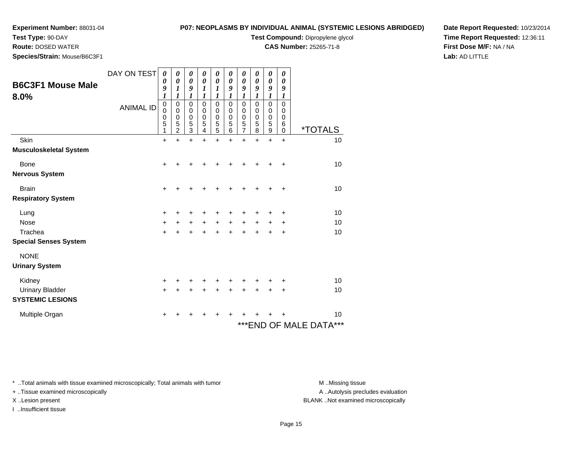**Test Type:** 90-DAY

**Route:** DOSED WATER

**Species/Strain:** Mouse/B6C3F1

## **P07: NEOPLASMS BY INDIVIDUAL ANIMAL (SYSTEMIC LESIONS ABRIDGED)**

**Test Compound:** Dipropylene glycol

**CAS Number:** 25265-71-8

**Date Report Requested:** 10/23/2014**Time Report Requested:** 12:36:11**First Dose M/F:** NA / NA**Lab:** AD LITTLE

| <b>B6C3F1 Mouse Male</b><br>8.0% | DAY ON TEST<br><b>ANIMAL ID</b> | 0<br>0<br>9<br>$\boldsymbol{l}$<br>$\boldsymbol{0}$<br>$\mathbf 0$<br>0<br>5<br>1 | 0<br>0<br>1<br>1<br>0<br>$\mathbf 0$<br>$\pmb{0}$<br>5<br>$\overline{2}$ | 0<br>0<br>9<br>$\boldsymbol{l}$<br>0<br>0<br>0<br>5<br>3 | 0<br>$\boldsymbol{\theta}$<br>1<br>1<br>$\mathbf 0$<br>$\mathbf 0$<br>$\pmb{0}$<br>5<br>4 | 0<br>0<br>$\boldsymbol{l}$<br>1<br>$\mathbf 0$<br>$\mathbf 0$<br>$\mathbf 0$<br>5<br>5 | 0<br>0<br>9<br>$\boldsymbol{l}$<br>0<br>$\mathbf 0$<br>$\mathbf 0$<br>5<br>6 | 0<br>0<br>9<br>1<br>$\mathbf 0$<br>$\mathbf 0$<br>0<br>5<br>7 | 0<br>0<br>9<br>$\boldsymbol{l}$<br>$\mathbf 0$<br>0<br>$\mathbf 0$<br>5<br>8 | 0<br>0<br>9<br>$\boldsymbol{l}$<br>0<br>0<br>$\mathbf 0$<br>5<br>$\boldsymbol{9}$ | 0<br>0<br>9<br>$\boldsymbol{l}$<br>$\mathbf 0$<br>0<br>$\mathbf 0$<br>6<br>0 | <i><b>*TOTALS</b></i>      |
|----------------------------------|---------------------------------|-----------------------------------------------------------------------------------|--------------------------------------------------------------------------|----------------------------------------------------------|-------------------------------------------------------------------------------------------|----------------------------------------------------------------------------------------|------------------------------------------------------------------------------|---------------------------------------------------------------|------------------------------------------------------------------------------|-----------------------------------------------------------------------------------|------------------------------------------------------------------------------|----------------------------|
| Skin                             |                                 | $\ddot{}$                                                                         | $\ddot{}$                                                                | $\ddot{}$                                                | $\ddot{}$                                                                                 | $\ddot{}$                                                                              | $\ddot{}$                                                                    | $\ddot{}$                                                     | $\ddot{}$                                                                    | $\ddot{}$                                                                         | $\ddot{}$                                                                    | 10                         |
| <b>Musculoskeletal System</b>    |                                 |                                                                                   |                                                                          |                                                          |                                                                                           |                                                                                        |                                                                              |                                                               |                                                                              |                                                                                   |                                                                              |                            |
| Bone                             |                                 | +                                                                                 | ┿                                                                        | ٠                                                        |                                                                                           |                                                                                        |                                                                              |                                                               | +                                                                            | ٠                                                                                 | $\ddot{}$                                                                    | 10                         |
| <b>Nervous System</b>            |                                 |                                                                                   |                                                                          |                                                          |                                                                                           |                                                                                        |                                                                              |                                                               |                                                                              |                                                                                   |                                                                              |                            |
| <b>Brain</b>                     |                                 | +                                                                                 |                                                                          |                                                          |                                                                                           |                                                                                        |                                                                              |                                                               |                                                                              |                                                                                   | +                                                                            | 10                         |
| <b>Respiratory System</b>        |                                 |                                                                                   |                                                                          |                                                          |                                                                                           |                                                                                        |                                                                              |                                                               |                                                                              |                                                                                   |                                                                              |                            |
| Lung                             |                                 | +                                                                                 |                                                                          |                                                          |                                                                                           |                                                                                        |                                                                              |                                                               |                                                                              | +                                                                                 | +                                                                            | 10                         |
| <b>Nose</b>                      |                                 | $+$                                                                               | +                                                                        | $\ddot{}$                                                | $+$                                                                                       | $\ddot{}$                                                                              | $\ddot{}$                                                                    | $+$                                                           | $\ddot{}$                                                                    | +                                                                                 | +                                                                            | 10                         |
| Trachea                          |                                 | $+$                                                                               | +                                                                        | +                                                        | +                                                                                         | $\ddot{}$                                                                              | $\div$                                                                       | +                                                             | +                                                                            | +                                                                                 | +                                                                            | 10                         |
| <b>Special Senses System</b>     |                                 |                                                                                   |                                                                          |                                                          |                                                                                           |                                                                                        |                                                                              |                                                               |                                                                              |                                                                                   |                                                                              |                            |
| <b>NONE</b>                      |                                 |                                                                                   |                                                                          |                                                          |                                                                                           |                                                                                        |                                                                              |                                                               |                                                                              |                                                                                   |                                                                              |                            |
| <b>Urinary System</b>            |                                 |                                                                                   |                                                                          |                                                          |                                                                                           |                                                                                        |                                                                              |                                                               |                                                                              |                                                                                   |                                                                              |                            |
| Kidney                           |                                 | +                                                                                 | ٠                                                                        | ٠                                                        | ٠                                                                                         |                                                                                        |                                                                              |                                                               | ٠                                                                            | ٠                                                                                 | ÷                                                                            | 10                         |
| <b>Urinary Bladder</b>           |                                 | $\ddot{}$                                                                         |                                                                          |                                                          | +                                                                                         | $\ddot{}$                                                                              | +                                                                            | +                                                             | $\ddot{}$                                                                    | +                                                                                 | +                                                                            | 10                         |
| <b>SYSTEMIC LESIONS</b>          |                                 |                                                                                   |                                                                          |                                                          |                                                                                           |                                                                                        |                                                                              |                                                               |                                                                              |                                                                                   |                                                                              |                            |
| Multiple Organ                   |                                 | ٠                                                                                 |                                                                          |                                                          |                                                                                           |                                                                                        |                                                                              |                                                               |                                                                              |                                                                                   | ٠                                                                            | 10                         |
|                                  |                                 |                                                                                   |                                                                          |                                                          |                                                                                           |                                                                                        |                                                                              |                                                               |                                                                              |                                                                                   |                                                                              | ***<br>***END OF MALE DATA |

\* ..Total animals with tissue examined microscopically; Total animals with tumor **M** . Missing tissue M ..Missing tissue

+ ..Tissue examined microscopically

I ..Insufficient tissue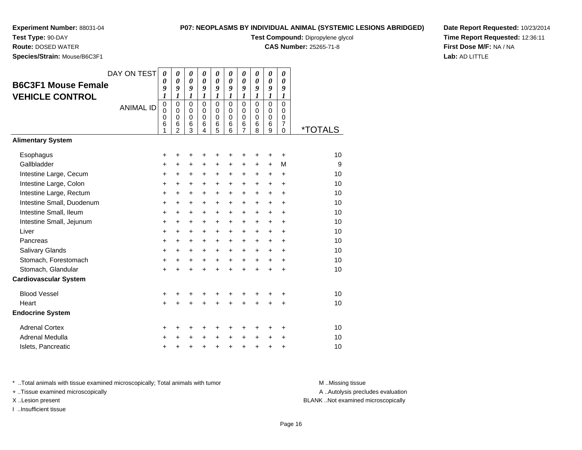**Test Type:** 90-DAY

**Route:** DOSED WATER

**Species/Strain:** Mouse/B6C3F1

# **P07: NEOPLASMS BY INDIVIDUAL ANIMAL (SYSTEMIC LESIONS ABRIDGED)**

**Test Compound:** Dipropylene glycol

**CAS Number:** 25265-71-8

**Date Report Requested:** 10/23/2014**Time Report Requested:** 12:36:11**First Dose M/F:** NA / NA**Lab:** AD LITTLE

| <b>B6C3F1 Mouse Female</b><br><b>VEHICLE CONTROL</b> | DAY ON TEST<br><b>ANIMAL ID</b> | 0<br>0<br>9<br>$\boldsymbol{l}$<br>$\pmb{0}$<br>0<br>$\mathbf 0$<br>6<br>1 | $\boldsymbol{\theta}$<br>$\boldsymbol{\theta}$<br>9<br>$\boldsymbol{l}$<br>$\mathbf 0$<br>$\mathbf 0$<br>$\mathbf 0$<br>6<br>$\overline{2}$ | 0<br>0<br>9<br>$\boldsymbol{l}$<br>$\mathbf 0$<br>$\mathbf 0$<br>$\mathbf 0$<br>6<br>3 | 0<br>0<br>9<br>$\boldsymbol{l}$<br>$\Omega$<br>$\mathbf 0$<br>$\mathbf 0$<br>6<br>4 | 0<br>0<br>9<br>$\boldsymbol{l}$<br>$\mathbf 0$<br>$\mathbf 0$<br>$\mathbf 0$<br>6<br>5 | 0<br>0<br>9<br>$\boldsymbol{l}$<br>$\Omega$<br>$\mathbf 0$<br>$\Omega$<br>6<br>6 | 0<br>$\boldsymbol{\theta}$<br>9<br>$\boldsymbol{l}$<br>$\mathbf 0$<br>$\pmb{0}$<br>$\mathbf 0$<br>$\,6$<br>$\overline{7}$ | 0<br>0<br>9<br>$\mathbf{I}$<br>$\mathbf 0$<br>$\mathbf 0$<br>$\mathbf 0$<br>6<br>8 | 0<br>0<br>9<br>$\boldsymbol{l}$<br>0<br>$\mathbf 0$<br>0<br>6<br>9 | 0<br>0<br>9<br>1<br>$\Omega$<br>$\mathbf 0$<br>0<br>7<br>$\Omega$ | <i><b>*TOTALS</b></i> |
|------------------------------------------------------|---------------------------------|----------------------------------------------------------------------------|---------------------------------------------------------------------------------------------------------------------------------------------|----------------------------------------------------------------------------------------|-------------------------------------------------------------------------------------|----------------------------------------------------------------------------------------|----------------------------------------------------------------------------------|---------------------------------------------------------------------------------------------------------------------------|------------------------------------------------------------------------------------|--------------------------------------------------------------------|-------------------------------------------------------------------|-----------------------|
| <b>Alimentary System</b>                             |                                 |                                                                            |                                                                                                                                             |                                                                                        |                                                                                     |                                                                                        |                                                                                  |                                                                                                                           |                                                                                    |                                                                    |                                                                   |                       |
| Esophagus                                            |                                 | +                                                                          | +                                                                                                                                           | +                                                                                      | +                                                                                   | +                                                                                      | +                                                                                | +                                                                                                                         | ٠                                                                                  | +                                                                  | +                                                                 | 10                    |
| Gallbladder                                          |                                 | +                                                                          | $\ddot{}$                                                                                                                                   | $\ddot{}$                                                                              | $\ddot{}$                                                                           | $\ddot{}$                                                                              | $\pm$                                                                            | $\ddot{}$                                                                                                                 | $\ddot{}$                                                                          | $+$                                                                | M                                                                 | 9                     |
| Intestine Large, Cecum                               |                                 | +                                                                          | +                                                                                                                                           | $\ddot{}$                                                                              | $\ddot{}$                                                                           | $\ddot{}$                                                                              | $\ddot{}$                                                                        | $\ddot{}$                                                                                                                 | $\pm$                                                                              | $\ddot{}$                                                          | $\ddot{}$                                                         | 10                    |
| Intestine Large, Colon                               |                                 | +                                                                          | $\ddot{}$                                                                                                                                   | $\ddot{}$                                                                              | +                                                                                   | +                                                                                      | $\ddot{}$                                                                        | $\ddot{}$                                                                                                                 | $\ddot{}$                                                                          | $\ddot{}$                                                          | $\ddot{}$                                                         | 10                    |
| Intestine Large, Rectum                              |                                 | +                                                                          | +                                                                                                                                           | +                                                                                      | +                                                                                   | +                                                                                      | +                                                                                | +                                                                                                                         | $\ddot{}$                                                                          | $\ddot{}$                                                          | $\ddot{}$                                                         | 10                    |
| Intestine Small, Duodenum                            |                                 | +                                                                          | $\ddot{}$                                                                                                                                   | $\ddot{}$                                                                              | +                                                                                   | +                                                                                      | $\ddot{}$                                                                        | $\ddot{}$                                                                                                                 | $\ddot{}$                                                                          | $+$                                                                | $\ddot{}$                                                         | 10                    |
| Intestine Small, Ileum                               |                                 | +                                                                          | $\ddot{}$                                                                                                                                   | $\ddot{}$                                                                              | +                                                                                   | +                                                                                      | $\ddot{}$                                                                        | +                                                                                                                         | $+$                                                                                | $\pm$                                                              | $\ddot{}$                                                         | 10                    |
| Intestine Small, Jejunum                             |                                 | $\ddot{}$                                                                  | $\ddot{}$                                                                                                                                   | $\ddot{}$                                                                              | +                                                                                   | $\ddot{}$                                                                              | $\ddot{}$                                                                        | $\ddot{}$                                                                                                                 | $\ddot{}$                                                                          | $\ddot{}$                                                          | $\ddot{}$                                                         | 10                    |
| Liver                                                |                                 | +                                                                          | +                                                                                                                                           | +                                                                                      | +                                                                                   | +                                                                                      | +                                                                                | +                                                                                                                         | +                                                                                  | +                                                                  | +                                                                 | 10                    |
| Pancreas                                             |                                 | $\ddot{}$                                                                  | $\ddot{}$                                                                                                                                   | +                                                                                      | +                                                                                   | +                                                                                      | +                                                                                | $\ddot{}$                                                                                                                 | $\pm$                                                                              | $\ddot{}$                                                          | $\ddot{}$                                                         | 10                    |
| Salivary Glands                                      |                                 | $\ddot{}$                                                                  | $\ddot{}$                                                                                                                                   | $\ddot{}$                                                                              | $\ddot{}$                                                                           | +                                                                                      | $\ddot{}$                                                                        | $\ddot{}$                                                                                                                 | $+$                                                                                | $\pm$                                                              | $\ddot{}$                                                         | 10                    |
| Stomach, Forestomach                                 |                                 | $\ddot{}$                                                                  | $\ddot{}$                                                                                                                                   | $\ddot{}$                                                                              | $\ddot{}$                                                                           | +                                                                                      | $+$                                                                              | $+$                                                                                                                       | $+$                                                                                | $\ddot{}$                                                          | $\ddot{}$                                                         | 10                    |
| Stomach, Glandular                                   |                                 | $\ddot{}$                                                                  | $\ddot{}$                                                                                                                                   | $\ddot{}$                                                                              | $\ddot{}$                                                                           | $\ddot{}$                                                                              | $\ddot{}$                                                                        | $+$                                                                                                                       | $\ddot{}$                                                                          | ÷                                                                  | $\ddot{}$                                                         | 10                    |
| <b>Cardiovascular System</b>                         |                                 |                                                                            |                                                                                                                                             |                                                                                        |                                                                                     |                                                                                        |                                                                                  |                                                                                                                           |                                                                                    |                                                                    |                                                                   |                       |
| <b>Blood Vessel</b>                                  |                                 | +                                                                          |                                                                                                                                             |                                                                                        | +                                                                                   | +                                                                                      | +                                                                                | +                                                                                                                         | +                                                                                  |                                                                    | +                                                                 | 10                    |
| Heart                                                |                                 | +                                                                          |                                                                                                                                             |                                                                                        |                                                                                     | $\ddot{}$                                                                              |                                                                                  |                                                                                                                           |                                                                                    | +                                                                  | $\ddot{}$                                                         | 10                    |
| <b>Endocrine System</b>                              |                                 |                                                                            |                                                                                                                                             |                                                                                        |                                                                                     |                                                                                        |                                                                                  |                                                                                                                           |                                                                                    |                                                                    |                                                                   |                       |
| <b>Adrenal Cortex</b>                                |                                 | +                                                                          | +                                                                                                                                           | +                                                                                      | +                                                                                   | +                                                                                      | ٠                                                                                | ٠                                                                                                                         | +                                                                                  | ٠                                                                  | ٠                                                                 | 10                    |
| Adrenal Medulla                                      |                                 | +                                                                          |                                                                                                                                             | +                                                                                      | +                                                                                   | $\ddot{}$                                                                              | $\ddot{}$                                                                        | $\ddot{}$                                                                                                                 | $\ddot{}$                                                                          | +                                                                  | +                                                                 | 10                    |
| Islets, Pancreatic                                   |                                 | $\ddot{}$                                                                  |                                                                                                                                             | +                                                                                      | +                                                                                   | $\ddot{}$                                                                              | $\ddot{}$                                                                        | $\ddot{}$                                                                                                                 | +                                                                                  | +                                                                  | +                                                                 | 10                    |

\* ..Total animals with tissue examined microscopically; Total animals with tumor **M** . Missing tissue M ..Missing tissue

+ ..Tissue examined microscopically

I ..Insufficient tissue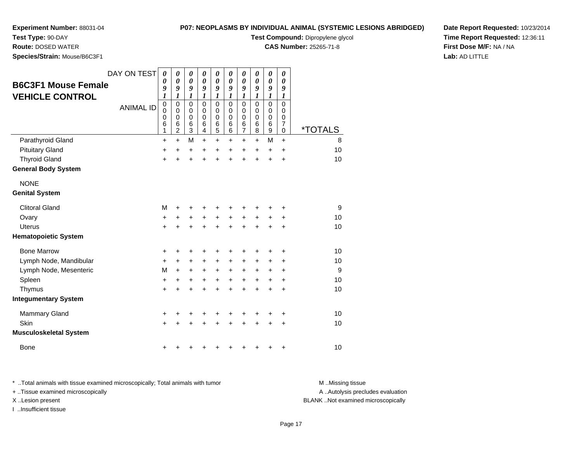# **P07: NEOPLASMS BY INDIVIDUAL ANIMAL (SYSTEMIC LESIONS ABRIDGED)**

**Test Compound:** Dipropylene glycol

**CAS Number:** 25265-71-8

**Date Report Requested:** 10/23/2014**Time Report Requested:** 12:36:11**First Dose M/F:** NA / NA**Lab:** AD LITTLE

**Test Type:** 90-DAY **Route:** DOSED WATER **Species/Strain:** Mouse/B6C3F1DAY ON TEST

|                               | DAY ON TEST      | 0<br>0                                         | 0<br>0                                                                           | 0<br>0                               | 0<br>0                                             | 0<br>0                                                       | 0<br>0                                          | 0<br>$\boldsymbol{\theta}$                            | 0<br>0                                                | 0<br>0                               | 0<br>0                                                   |                       |
|-------------------------------|------------------|------------------------------------------------|----------------------------------------------------------------------------------|--------------------------------------|----------------------------------------------------|--------------------------------------------------------------|-------------------------------------------------|-------------------------------------------------------|-------------------------------------------------------|--------------------------------------|----------------------------------------------------------|-----------------------|
| <b>B6C3F1 Mouse Female</b>    |                  | 9                                              | 9                                                                                | 9                                    | 9                                                  | 9                                                            | 9                                               | 9                                                     | 9                                                     | 9                                    | 9                                                        |                       |
| <b>VEHICLE CONTROL</b>        | <b>ANIMAL ID</b> | 1<br>$\mathbf 0$<br>$\mathbf 0$<br>0<br>6<br>1 | 1<br>$\mathbf 0$<br>$\Omega$<br>$\mathbf 0$<br>$6\phantom{1}6$<br>$\overline{c}$ | 1<br>$\mathbf 0$<br>0<br>0<br>6<br>3 | 1<br>$\mathbf 0$<br>$\Omega$<br>$\Omega$<br>6<br>4 | 1<br>$\mathbf 0$<br>0<br>$\mathbf 0$<br>$6\phantom{1}6$<br>5 | 1<br>$\Omega$<br>$\Omega$<br>$\Omega$<br>6<br>6 | 1<br>$\mathbf 0$<br>0<br>0<br>$\,6$<br>$\overline{7}$ | 1<br>$\mathbf 0$<br>$\Omega$<br>$\mathbf 0$<br>6<br>8 | 1<br>$\mathbf 0$<br>0<br>0<br>6<br>9 | 1<br>$\mathbf 0$<br>0<br>$\mathbf 0$<br>7<br>$\mathbf 0$ | <i><b>*TOTALS</b></i> |
| Parathyroid Gland             |                  | +                                              | $\ddot{}$                                                                        | M                                    | +                                                  | $\ddot{}$                                                    | +                                               | $\pm$                                                 | $\ddot{}$                                             | M                                    | $\ddot{}$                                                | 8                     |
| <b>Pituitary Gland</b>        |                  | +                                              | +                                                                                | +                                    | +                                                  | +                                                            | +                                               | $\pm$                                                 | $\div$                                                | $\ddot{}$                            | $\div$                                                   | 10                    |
| <b>Thyroid Gland</b>          |                  | +                                              |                                                                                  | +                                    | +                                                  | $\ddot{}$                                                    | +                                               | $\ddot{}$                                             | +                                                     | +                                    | $\div$                                                   | 10                    |
| <b>General Body System</b>    |                  |                                                |                                                                                  |                                      |                                                    |                                                              |                                                 |                                                       |                                                       |                                      |                                                          |                       |
| <b>NONE</b>                   |                  |                                                |                                                                                  |                                      |                                                    |                                                              |                                                 |                                                       |                                                       |                                      |                                                          |                       |
| <b>Genital System</b>         |                  |                                                |                                                                                  |                                      |                                                    |                                                              |                                                 |                                                       |                                                       |                                      |                                                          |                       |
| <b>Clitoral Gland</b>         |                  | M                                              | ٠                                                                                | +                                    | +                                                  | +                                                            | +                                               | +                                                     |                                                       | ٠                                    | +                                                        | 9                     |
| Ovary                         |                  | +                                              | +                                                                                | +                                    | $\ddot{}$                                          | $\ddot{}$                                                    | $\ddot{}$                                       | $\ddot{}$                                             | $\ddot{}$                                             | $\ddot{}$                            | +                                                        | 10                    |
| <b>Uterus</b>                 |                  | $\ddot{}$                                      | +                                                                                | $\ddot{}$                            | $\ddot{}$                                          | $\ddot{}$                                                    | $\ddot{}$                                       | $\ddot{}$                                             | ÷                                                     | +                                    | $\ddot{}$                                                | 10                    |
| <b>Hematopoietic System</b>   |                  |                                                |                                                                                  |                                      |                                                    |                                                              |                                                 |                                                       |                                                       |                                      |                                                          |                       |
| <b>Bone Marrow</b>            |                  | +                                              | +                                                                                | ٠                                    | +                                                  | ٠                                                            | +                                               | +                                                     |                                                       | +                                    | ٠                                                        | 10                    |
| Lymph Node, Mandibular        |                  | $\ddot{}$                                      | $\ddot{}$                                                                        | +                                    | $\ddot{}$                                          | $\ddot{}$                                                    | $\ddot{}$                                       | +                                                     | $\ddot{}$                                             | +                                    | $\ddot{}$                                                | 10                    |
| Lymph Node, Mesenteric        |                  | M                                              | $\ddot{}$                                                                        | $\ddot{}$                            | $\ddot{}$                                          | $\ddot{}$                                                    | $\ddot{}$                                       | $\ddot{}$                                             | $\ddot{}$                                             | $\pm$                                | $\ddot{}$                                                | 9                     |
| Spleen                        |                  | +                                              | +                                                                                | +                                    | +                                                  | +                                                            | +                                               | +                                                     | +                                                     | +                                    | $\ddot{}$                                                | 10                    |
| Thymus                        |                  | $\ddot{}$                                      | ÷                                                                                | $\ddot{}$                            | $\ddot{}$                                          | $\ddot{}$                                                    | $\ddot{}$                                       | $\ddot{}$                                             | ÷.                                                    | $\ddot{}$                            | $\ddot{}$                                                | 10                    |
| <b>Integumentary System</b>   |                  |                                                |                                                                                  |                                      |                                                    |                                                              |                                                 |                                                       |                                                       |                                      |                                                          |                       |
| <b>Mammary Gland</b>          |                  | +                                              | +                                                                                | +                                    | +                                                  | +                                                            | +                                               | +                                                     | +                                                     | +                                    | +                                                        | 10                    |
| Skin                          |                  | $\ddot{}$                                      |                                                                                  | +                                    | +                                                  | +                                                            |                                                 |                                                       |                                                       | +                                    | $\ddot{}$                                                | 10                    |
| <b>Musculoskeletal System</b> |                  |                                                |                                                                                  |                                      |                                                    |                                                              |                                                 |                                                       |                                                       |                                      |                                                          |                       |
| <b>Bone</b>                   |                  | +                                              |                                                                                  | ٠                                    | ٠                                                  | +                                                            | ٠                                               | +                                                     | ٠                                                     | +                                    | +                                                        | 10                    |

\* ..Total animals with tissue examined microscopically; Total animals with tumor **M** . Missing tissue M ..Missing tissue A ..Autolysis precludes evaluation + ..Tissue examined microscopically X ..Lesion present BLANK ..Not examined microscopicallyI ..Insufficient tissue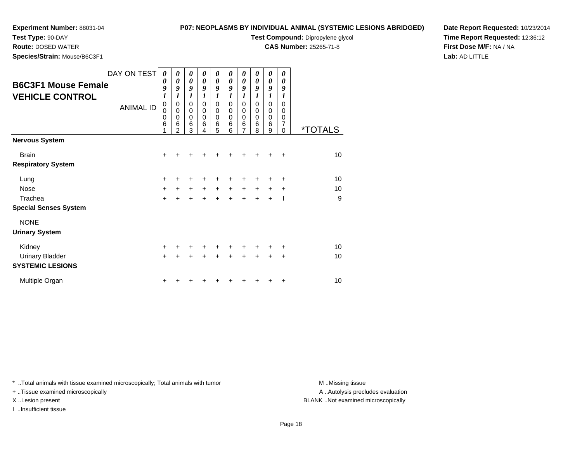**Species/Strain:** Mouse/B6C3F1

**Test Type:** 90-DAY**Route:** DOSED WATER

# **P07: NEOPLASMS BY INDIVIDUAL ANIMAL (SYSTEMIC LESIONS ABRIDGED)**

**Test Compound:** Dipropylene glycol

**CAS Number:** 25265-71-8

**Date Report Requested:** 10/23/2014**Time Report Requested:** 12:36:12**First Dose M/F:** NA / NA**Lab:** AD LITTLE

| <b>B6C3F1 Mouse Female</b><br><b>VEHICLE CONTROL</b> | DAY ON TEST<br><b>ANIMAL ID</b> | 0<br>$\boldsymbol{\theta}$<br>9<br>1<br>$\mathbf 0$<br>0<br>0<br>6 | 0<br>$\boldsymbol{\theta}$<br>9<br>$\pmb{0}$<br>$\Omega$<br>0<br>6<br>$\mathfrak{p}$ | 0<br>0<br>9<br>1<br>$\mathbf 0$<br>$\mathbf 0$<br>$\mathbf 0$<br>6<br>3 | 0<br>0<br>9<br>$\Omega$<br>$\Omega$<br>0<br>6<br>4 | 0<br>0<br>9<br>1<br>$\mathbf 0$<br>$\mathbf 0$<br>$\mathbf 0$<br>6<br>5 | 0<br>0<br>9<br>1<br>$\mathbf 0$<br>0<br>0<br>6<br>6 | 0<br>$\boldsymbol{\theta}$<br>9<br>1<br>0<br>0<br>$\mathbf 0$<br>$6\phantom{1}6$<br>$\overline{7}$ | 0<br>0<br>9<br>$\mathbf 0$<br>0<br>0<br>6<br>8 | 0<br>0<br>9<br>1<br>$\mathsf 0$<br>0<br>$\mathbf 0$<br>6<br>9 | 0<br>0<br>9<br>1<br>$\overline{0}$<br>0<br>0<br>7<br>$\Omega$ | <i><b>*TOTALS</b></i> |
|------------------------------------------------------|---------------------------------|--------------------------------------------------------------------|--------------------------------------------------------------------------------------|-------------------------------------------------------------------------|----------------------------------------------------|-------------------------------------------------------------------------|-----------------------------------------------------|----------------------------------------------------------------------------------------------------|------------------------------------------------|---------------------------------------------------------------|---------------------------------------------------------------|-----------------------|
| Nervous System                                       |                                 |                                                                    |                                                                                      |                                                                         |                                                    |                                                                         |                                                     |                                                                                                    |                                                |                                                               |                                                               |                       |
| <b>Brain</b><br><b>Respiratory System</b>            |                                 | $\ddot{}$                                                          | +                                                                                    | +                                                                       | +                                                  | +                                                                       | +                                                   | +                                                                                                  |                                                | +                                                             | ÷                                                             | 10                    |
|                                                      |                                 |                                                                    |                                                                                      |                                                                         |                                                    |                                                                         |                                                     |                                                                                                    |                                                |                                                               |                                                               |                       |
| Lung                                                 |                                 | $\ddot{}$                                                          |                                                                                      | +                                                                       |                                                    |                                                                         |                                                     |                                                                                                    |                                                |                                                               | ٠                                                             | 10                    |
| <b>Nose</b>                                          |                                 | $\ddot{}$                                                          | $\ddot{}$                                                                            | $\ddot{}$                                                               | $\ddot{}$                                          | $\ddot{}$                                                               | $\ddot{}$                                           | $\ddot{}$                                                                                          | $\ddot{}$                                      | $\ddot{}$                                                     | $\ddot{}$                                                     | 10                    |
| Trachea<br><b>Special Senses System</b>              |                                 | $\ddot{}$                                                          |                                                                                      | $\ddot{}$                                                               | $\ddot{}$                                          | $\ddot{}$                                                               | $\ddot{}$                                           | $\ddot{}$                                                                                          | ÷                                              | $\ddot{}$                                                     |                                                               | 9                     |
| <b>NONE</b>                                          |                                 |                                                                    |                                                                                      |                                                                         |                                                    |                                                                         |                                                     |                                                                                                    |                                                |                                                               |                                                               |                       |
| <b>Urinary System</b>                                |                                 |                                                                    |                                                                                      |                                                                         |                                                    |                                                                         |                                                     |                                                                                                    |                                                |                                                               |                                                               |                       |
| Kidney                                               |                                 | $\ddot{}$                                                          | +                                                                                    | +                                                                       | +                                                  | +                                                                       | +                                                   | +                                                                                                  |                                                | +                                                             | ٠                                                             | 10                    |
| <b>Urinary Bladder</b>                               |                                 | $\ddot{}$                                                          | $\ddot{}$                                                                            |                                                                         |                                                    | $\ddot{}$                                                               | ÷                                                   | $\div$                                                                                             |                                                | +                                                             | $\ddot{}$                                                     | 10                    |
| <b>SYSTEMIC LESIONS</b>                              |                                 |                                                                    |                                                                                      |                                                                         |                                                    |                                                                         |                                                     |                                                                                                    |                                                |                                                               |                                                               |                       |
| Multiple Organ                                       |                                 | +                                                                  |                                                                                      |                                                                         |                                                    |                                                                         |                                                     |                                                                                                    |                                                |                                                               | ٠                                                             | 10                    |

\* ..Total animals with tissue examined microscopically; Total animals with tumor **M** . Missing tissue M ..Missing tissue

+ ..Tissue examined microscopically

I ..Insufficient tissue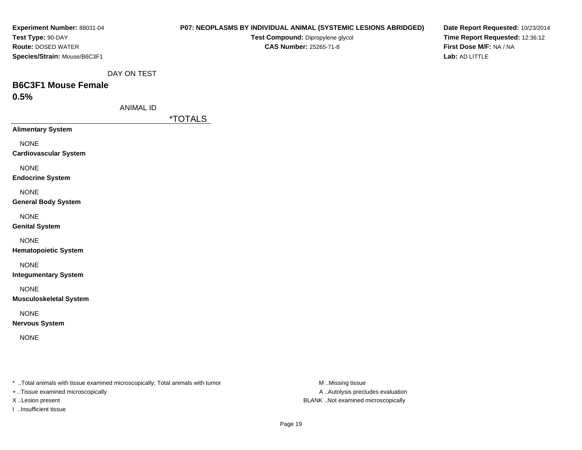| Experiment Number: 88031-04                                                    |                  | P07: NEOPLASMS BY INDIVIDUAL ANIMAL (SYSTEMIC LESIONS ABRIDGED) |                  | Date Report Requested: 10/23/2014 |
|--------------------------------------------------------------------------------|------------------|-----------------------------------------------------------------|------------------|-----------------------------------|
| Test Type: 90-DAY                                                              |                  | Test Compound: Dipropylene glycol                               |                  | Time Report Requested: 12:36:12   |
| Route: DOSED WATER                                                             |                  | <b>CAS Number: 25265-71-8</b>                                   |                  | First Dose M/F: NA / NA           |
| Species/Strain: Mouse/B6C3F1                                                   |                  |                                                                 |                  | Lab: AD LITTLE                    |
|                                                                                | DAY ON TEST      |                                                                 |                  |                                   |
| <b>B6C3F1 Mouse Female</b>                                                     |                  |                                                                 |                  |                                   |
| 0.5%                                                                           |                  |                                                                 |                  |                                   |
|                                                                                | <b>ANIMAL ID</b> |                                                                 |                  |                                   |
|                                                                                |                  | <i><b>*TOTALS</b></i>                                           |                  |                                   |
| <b>Alimentary System</b>                                                       |                  |                                                                 |                  |                                   |
| <b>NONE</b>                                                                    |                  |                                                                 |                  |                                   |
| <b>Cardiovascular System</b>                                                   |                  |                                                                 |                  |                                   |
| <b>NONE</b>                                                                    |                  |                                                                 |                  |                                   |
| <b>Endocrine System</b>                                                        |                  |                                                                 |                  |                                   |
| <b>NONE</b>                                                                    |                  |                                                                 |                  |                                   |
| <b>General Body System</b>                                                     |                  |                                                                 |                  |                                   |
| <b>NONE</b>                                                                    |                  |                                                                 |                  |                                   |
| <b>Genital System</b>                                                          |                  |                                                                 |                  |                                   |
|                                                                                |                  |                                                                 |                  |                                   |
| <b>NONE</b><br><b>Hematopoietic System</b>                                     |                  |                                                                 |                  |                                   |
|                                                                                |                  |                                                                 |                  |                                   |
| <b>NONE</b>                                                                    |                  |                                                                 |                  |                                   |
| <b>Integumentary System</b>                                                    |                  |                                                                 |                  |                                   |
| <b>NONE</b>                                                                    |                  |                                                                 |                  |                                   |
| <b>Musculoskeletal System</b>                                                  |                  |                                                                 |                  |                                   |
| <b>NONE</b>                                                                    |                  |                                                                 |                  |                                   |
| <b>Nervous System</b>                                                          |                  |                                                                 |                  |                                   |
| <b>NONE</b>                                                                    |                  |                                                                 |                  |                                   |
|                                                                                |                  |                                                                 |                  |                                   |
|                                                                                |                  |                                                                 |                  |                                   |
|                                                                                |                  |                                                                 |                  |                                   |
| * Total animals with tissue examined microscopically; Total animals with tumor |                  |                                                                 | M Missing tissue |                                   |

+ ..Tissue examined microscopically

I ..Insufficient tissue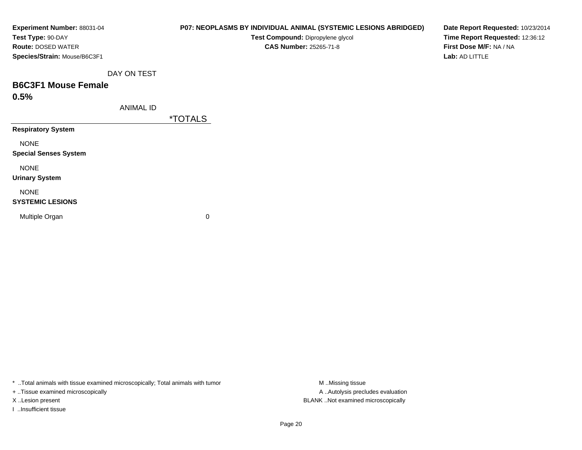| Experiment Number: 88031-04  |                  | P07: NEOPLASMS BY INDIVIDUAL ANIMAL (SYSTEMIC LESIONS ABRIDGED) | Date Report Requested: 10/23/2 |
|------------------------------|------------------|-----------------------------------------------------------------|--------------------------------|
| Test Type: 90-DAY            |                  | Test Compound: Dipropylene glycol                               | Time Report Requested: 12:36:  |
| <b>Route: DOSED WATER</b>    |                  | <b>CAS Number: 25265-71-8</b>                                   | First Dose M/F: NA / NA        |
| Species/Strain: Mouse/B6C3F1 |                  |                                                                 | Lab: AD LITTLE                 |
|                              | DAY ON TEST      |                                                                 |                                |
| <b>B6C3F1 Mouse Female</b>   |                  |                                                                 |                                |
| 0.5%                         |                  |                                                                 |                                |
|                              | <b>ANIMAL ID</b> |                                                                 |                                |
|                              |                  | <i><b>*TOTALS</b></i>                                           |                                |
| <b>Respiratory System</b>    |                  |                                                                 |                                |
| <b>NONE</b>                  |                  |                                                                 |                                |
| <b>Special Senses System</b> |                  |                                                                 |                                |
| <b>NONE</b>                  |                  |                                                                 |                                |
| <b>Urinary System</b>        |                  |                                                                 |                                |
| <b>NONE</b>                  |                  |                                                                 |                                |
| <b>SYSTEMIC LESIONS</b>      |                  |                                                                 |                                |
| Multiple Organ               |                  | 0                                                               |                                |
|                              |                  |                                                                 |                                |
|                              |                  |                                                                 |                                |

\* ..Total animals with tissue examined microscopically; Total animals with tumor M..Missing tissue M ..Missing tissue

+ ..Tissue examined microscopically

I ..Insufficient tissue

A ..Autolysis precludes evaluation X ..Lesion present BLANK ..Not examined microscopically

**2014**  $:12$ **Time Report Requested:** 12:36:12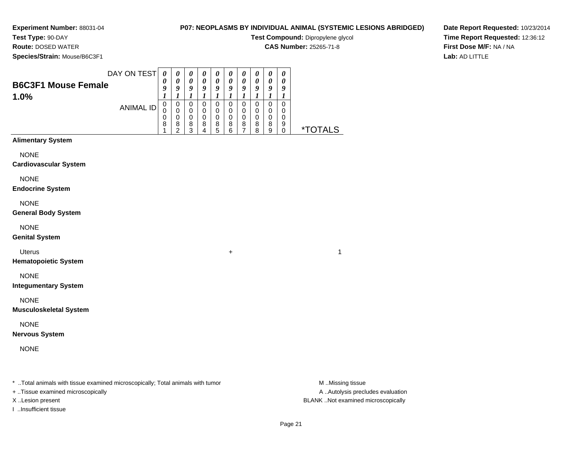**Test Type:** 90-DAY**Route:** DOSED WATER

# **P07: NEOPLASMS BY INDIVIDUAL ANIMAL (SYSTEMIC LESIONS ABRIDGED)**

**Test Compound:** Dipropylene glycol

**CAS Number:** 25265-71-8

**Date Report Requested:** 10/23/2014**Time Report Requested:** 12:36:12**First Dose M/F:** NA / NA**Lab:** AD LITTLE

**Species/Strain:** Mouse/B6C3F1

| $\frac{1}{2}$                      |        |                            |                            |             |                            |             |             |        |             |   |                       |
|------------------------------------|--------|----------------------------|----------------------------|-------------|----------------------------|-------------|-------------|--------|-------------|---|-----------------------|
| DAY ON TEST                        | 0<br>U | $\boldsymbol{\theta}$<br>0 | $\boldsymbol{\theta}$<br>0 | 0<br>0      | $\boldsymbol{\theta}$<br>0 | U<br>0      | U<br>0      |        |             |   |                       |
| <b>B6C3F1 Mouse Female</b><br>1.0% |        | o                          | O                          | o           | 0                          | o           | о           | o      | о           | " |                       |
| ANIMAL ID                          | 0<br>0 | 0<br>0<br>0                | 0<br>0<br>0                | O<br>0<br>0 | 0<br>0<br>0                | O<br>0<br>0 | O<br>0<br>0 | 0<br>0 | υ<br>U<br>D |   |                       |
|                                    | 8      | 8<br>ົ                     | 8<br>◠                     | 8           | 8<br>5                     | 8<br>6      | 8           | 8<br>8 | 8<br>9      | 9 | <i><b>*TOTALS</b></i> |

# **Alimentary System**

NONE

**Cardiovascular System**

NONE

**Endocrine System**

NONE

**General Body System**

NONE

**Genital System**

Uterus<sup>+</sup>

**Hematopoietic System**

NONE

**Integumentary System**

NONE

**Musculoskeletal System**

NONE

**Nervous System**

NONE

\* ..Total animals with tissue examined microscopically; Total animals with tumor **M** ...Missing tissue M ...Missing tissue

+ ..Tissue examined microscopically

I ..Insufficient tissue

A .. Autolysis precludes evaluation X ..Lesion present BLANK ..Not examined microscopically

 $\overline{1}$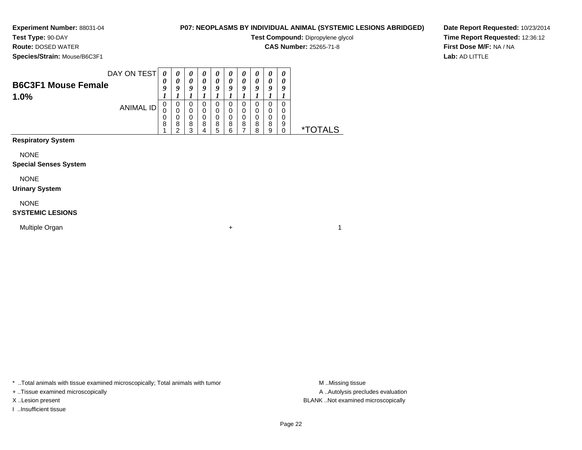**Test Type:** 90-DAY**Route:** DOSED WATER

# **P07: NEOPLASMS BY INDIVIDUAL ANIMAL (SYSTEMIC LESIONS ABRIDGED)**

 $\overline{1}$ 

**Test Compound:** Dipropylene glycol

**CAS Number:** 25265-71-8

**Species/Strain:** Mouse/B6C3F1

**Date Report Requested:** 10/23/2014**Time Report Requested:** 12:36:12**First Dose M/F:** NA / NA**Lab:** AD LITTLE

| DAY ON TEST                |            |   | $\boldsymbol{\theta}$ | U | $\boldsymbol{\theta}$ | U | U                     | U | U                     | U |                    |
|----------------------------|------------|---|-----------------------|---|-----------------------|---|-----------------------|---|-----------------------|---|--------------------|
| <b>B6C3F1 Mouse Female</b> | 0          |   |                       |   | 0                     |   | $\boldsymbol{\theta}$ |   | $\boldsymbol{\theta}$ |   |                    |
|                            | $\epsilon$ | O | O                     |   | o                     |   | o                     | o | a                     | a |                    |
| 1.0%                       |            |   |                       |   |                       |   |                       |   |                       |   |                    |
| ANIMAL ID                  | 0          | υ | U                     | U | 0                     |   | O                     |   | 0                     |   |                    |
|                            | U          |   | 0                     |   | 0                     |   |                       |   |                       |   |                    |
|                            | 0          |   | 0                     |   | 0                     |   |                       |   | 0                     |   |                    |
|                            | 8          | 8 | 8                     | 8 | 8                     | 8 | 8                     | 8 | 8                     | 9 |                    |
|                            |            | ົ | っ                     |   | 5                     | R |                       | я | Q                     |   |                    |
|                            |            |   |                       |   |                       |   |                       |   |                       |   | $\star^-$<br>TAI S |

# **Respiratory System**

NONE

### **Special Senses System**

NONE

### **Urinary System**

NONE

## **SYSTEMIC LESIONS**

Multiple Organn  $+$ 

\* ..Total animals with tissue examined microscopically; Total animals with tumor **M** ...Missing tissue M ...Missing tissue

+ ..Tissue examined microscopically

I ..Insufficient tissue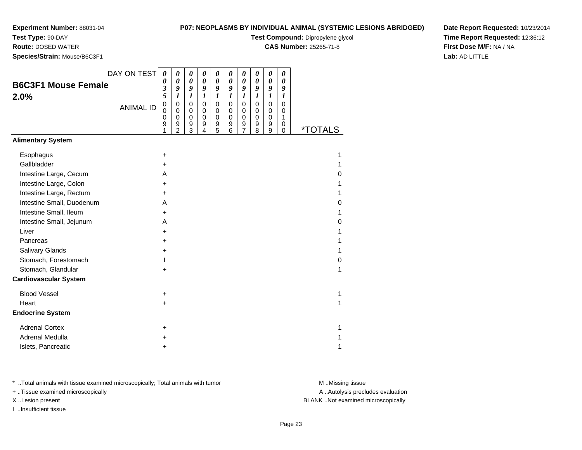**Test Type:** 90-DAY

**Route:** DOSED WATER

**Species/Strain:** Mouse/B6C3F1

## **P07: NEOPLASMS BY INDIVIDUAL ANIMAL (SYSTEMIC LESIONS ABRIDGED)**

**Test Compound:** Dipropylene glycol

**CAS Number:** 25265-71-8

**Date Report Requested:** 10/23/2014**Time Report Requested:** 12:36:12**First Dose M/F:** NA / NA**Lab:** AD LITTLE

| DAY ON TEST                  | 0                                      | 0                                                              | 0                                         | 0                                                              | 0                                                   | $\boldsymbol{\theta}$                             | 0                                                              | 0                                                   | 0                                                   | 0                                                    |                       |
|------------------------------|----------------------------------------|----------------------------------------------------------------|-------------------------------------------|----------------------------------------------------------------|-----------------------------------------------------|---------------------------------------------------|----------------------------------------------------------------|-----------------------------------------------------|-----------------------------------------------------|------------------------------------------------------|-----------------------|
| <b>B6C3F1 Mouse Female</b>   | $\boldsymbol{\theta}$<br>3             | 0<br>9                                                         | 0<br>9                                    | $\boldsymbol{\theta}$<br>9                                     | $\boldsymbol{\theta}$<br>9                          | $\boldsymbol{\theta}$<br>9                        | $\boldsymbol{\theta}$<br>9                                     | 0<br>9                                              | $\boldsymbol{\theta}$<br>9                          | 0<br>9                                               |                       |
| 2.0%                         | 5                                      | 1                                                              | $\boldsymbol{l}$                          | $\boldsymbol{l}$                                               | $\boldsymbol{l}$                                    | $\boldsymbol{l}$                                  | $\boldsymbol{l}$                                               | $\boldsymbol{l}$                                    | 1                                                   | $\boldsymbol{l}$                                     |                       |
| <b>ANIMAL ID</b>             | $\mathbf 0$<br>$\Omega$<br>0<br>9<br>1 | $\pmb{0}$<br>$\mathbf 0$<br>$\mathbf 0$<br>9<br>$\overline{2}$ | 0<br>$\mathbf 0$<br>$\mathbf 0$<br>9<br>3 | $\mathbf 0$<br>$\pmb{0}$<br>$\mathbf 0$<br>9<br>$\overline{4}$ | $\mathbf 0$<br>$\mathbf 0$<br>$\mathbf 0$<br>9<br>5 | $\mathbf 0$<br>$\pmb{0}$<br>$\mathbf 0$<br>9<br>6 | $\mathbf 0$<br>$\mathbf 0$<br>$\pmb{0}$<br>9<br>$\overline{7}$ | $\mathbf 0$<br>$\mathbf 0$<br>$\mathbf 0$<br>9<br>8 | $\mathbf 0$<br>0<br>$\mathbf 0$<br>9<br>$\mathsf g$ | $\mathbf 0$<br>0<br>$\mathbf{1}$<br>0<br>$\mathbf 0$ | <i><b>*TOTALS</b></i> |
| <b>Alimentary System</b>     |                                        |                                                                |                                           |                                                                |                                                     |                                                   |                                                                |                                                     |                                                     |                                                      |                       |
| Esophagus                    | $\ddot{}$                              |                                                                |                                           |                                                                |                                                     |                                                   |                                                                |                                                     |                                                     |                                                      | 1                     |
| Gallbladder                  | $\ddot{}$                              |                                                                |                                           |                                                                |                                                     |                                                   |                                                                |                                                     |                                                     |                                                      | 1                     |
| Intestine Large, Cecum       | A                                      |                                                                |                                           |                                                                |                                                     |                                                   |                                                                |                                                     |                                                     |                                                      | 0                     |
| Intestine Large, Colon       | +                                      |                                                                |                                           |                                                                |                                                     |                                                   |                                                                |                                                     |                                                     |                                                      | 1                     |
| Intestine Large, Rectum      | $\ddot{}$                              |                                                                |                                           |                                                                |                                                     |                                                   |                                                                |                                                     |                                                     |                                                      | 1                     |
| Intestine Small, Duodenum    | A                                      |                                                                |                                           |                                                                |                                                     |                                                   |                                                                |                                                     |                                                     |                                                      | 0                     |
| Intestine Small, Ileum       | $\ddot{}$                              |                                                                |                                           |                                                                |                                                     |                                                   |                                                                |                                                     |                                                     |                                                      | 1                     |
| Intestine Small, Jejunum     | A                                      |                                                                |                                           |                                                                |                                                     |                                                   |                                                                |                                                     |                                                     |                                                      | 0                     |
| Liver                        | $\ddot{}$                              |                                                                |                                           |                                                                |                                                     |                                                   |                                                                |                                                     |                                                     |                                                      | 1                     |
| Pancreas                     | +                                      |                                                                |                                           |                                                                |                                                     |                                                   |                                                                |                                                     |                                                     |                                                      | 1                     |
| Salivary Glands              | +                                      |                                                                |                                           |                                                                |                                                     |                                                   |                                                                |                                                     |                                                     |                                                      | 1                     |
| Stomach, Forestomach         |                                        |                                                                |                                           |                                                                |                                                     |                                                   |                                                                |                                                     |                                                     |                                                      | 0                     |
| Stomach, Glandular           | $\ddot{}$                              |                                                                |                                           |                                                                |                                                     |                                                   |                                                                |                                                     |                                                     |                                                      | 1                     |
| <b>Cardiovascular System</b> |                                        |                                                                |                                           |                                                                |                                                     |                                                   |                                                                |                                                     |                                                     |                                                      |                       |
| <b>Blood Vessel</b>          | $\ddot{}$                              |                                                                |                                           |                                                                |                                                     |                                                   |                                                                |                                                     |                                                     |                                                      | 1                     |
| Heart                        | $\ddot{}$                              |                                                                |                                           |                                                                |                                                     |                                                   |                                                                |                                                     |                                                     |                                                      | 1                     |
| <b>Endocrine System</b>      |                                        |                                                                |                                           |                                                                |                                                     |                                                   |                                                                |                                                     |                                                     |                                                      |                       |
| <b>Adrenal Cortex</b>        | +                                      |                                                                |                                           |                                                                |                                                     |                                                   |                                                                |                                                     |                                                     |                                                      | 1                     |
| Adrenal Medulla              | +                                      |                                                                |                                           |                                                                |                                                     |                                                   |                                                                |                                                     |                                                     |                                                      |                       |
| Islets, Pancreatic           | +                                      |                                                                |                                           |                                                                |                                                     |                                                   |                                                                |                                                     |                                                     |                                                      | 1                     |

\* ..Total animals with tissue examined microscopically; Total animals with tumor **M** . Missing tissue M ..Missing tissue

+ ..Tissue examined microscopically

I ..Insufficient tissue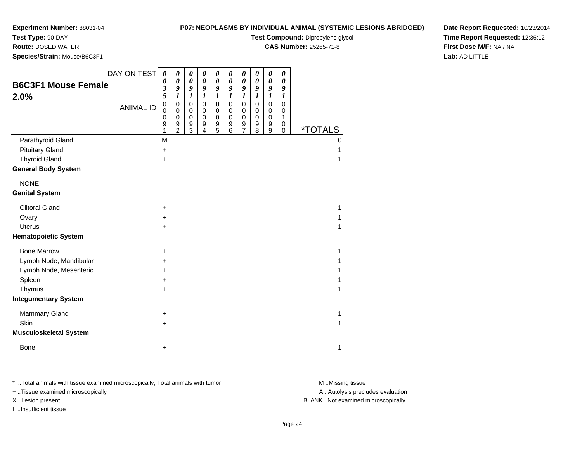**Test Type:** 90-DAY

**Route:** DOSED WATER

**Species/Strain:** Mouse/B6C3F1

## **P07: NEOPLASMS BY INDIVIDUAL ANIMAL (SYSTEMIC LESIONS ABRIDGED)**

**Test Compound:** Dipropylene glycol

**CAS Number:** 25265-71-8

**Date Report Requested:** 10/23/2014**Time Report Requested:** 12:36:12**First Dose M/F:** NA / NA**Lab:** AD LITTLE

| <b>B6C3F1 Mouse Female</b><br>2.0%                 | DAY ON TEST<br><b>ANIMAL ID</b> | 0<br>0<br>3<br>5<br>$\mathbf 0$<br>$\Omega$<br>0<br>9<br>1 | 0<br>$\boldsymbol{\theta}$<br>9<br>$\boldsymbol{l}$<br>$\pmb{0}$<br>0<br>0<br>$\boldsymbol{9}$<br>$\overline{2}$ | 0<br>$\boldsymbol{\theta}$<br>9<br>$\boldsymbol{l}$<br>0<br>0<br>$\mathbf 0$<br>9<br>3 | $\boldsymbol{\theta}$<br>$\boldsymbol{\theta}$<br>9<br>$\boldsymbol{l}$<br>$\pmb{0}$<br>$\mathbf 0$<br>$\pmb{0}$<br>9<br>4 | 0<br>0<br>9<br>$\boldsymbol{l}$<br>$\pmb{0}$<br>$\pmb{0}$<br>$\mathbf 0$<br>9<br>5 | 0<br>$\boldsymbol{\theta}$<br>9<br>$\boldsymbol{l}$<br>$\pmb{0}$<br>0<br>$\mathbf 0$<br>$\boldsymbol{9}$<br>$6\phantom{1}6$ | 0<br>$\boldsymbol{\theta}$<br>9<br>$\boldsymbol{l}$<br>$\pmb{0}$<br>$\pmb{0}$<br>$\pmb{0}$<br>$\boldsymbol{9}$<br>$\overline{7}$ | $\boldsymbol{\theta}$<br>$\boldsymbol{\theta}$<br>9<br>1<br>$\mathbf 0$<br>$\mathbf 0$<br>0<br>9<br>8 | 0<br>$\boldsymbol{\theta}$<br>9<br>$\boldsymbol{l}$<br>$\pmb{0}$<br>$\pmb{0}$<br>$\pmb{0}$<br>9<br>$\boldsymbol{9}$ | 0<br>0<br>9<br>$\bm{l}$<br>$\mathbf 0$<br>0<br>1<br>0<br>$\mathbf 0$ | <i><b>*TOTALS</b></i> |
|----------------------------------------------------|---------------------------------|------------------------------------------------------------|------------------------------------------------------------------------------------------------------------------|----------------------------------------------------------------------------------------|----------------------------------------------------------------------------------------------------------------------------|------------------------------------------------------------------------------------|-----------------------------------------------------------------------------------------------------------------------------|----------------------------------------------------------------------------------------------------------------------------------|-------------------------------------------------------------------------------------------------------|---------------------------------------------------------------------------------------------------------------------|----------------------------------------------------------------------|-----------------------|
| Parathyroid Gland                                  |                                 | M                                                          |                                                                                                                  |                                                                                        |                                                                                                                            |                                                                                    |                                                                                                                             |                                                                                                                                  |                                                                                                       |                                                                                                                     |                                                                      | 0                     |
| <b>Pituitary Gland</b>                             |                                 | $\ddot{}$                                                  |                                                                                                                  |                                                                                        |                                                                                                                            |                                                                                    |                                                                                                                             |                                                                                                                                  |                                                                                                       |                                                                                                                     |                                                                      |                       |
| <b>Thyroid Gland</b><br><b>General Body System</b> |                                 | $\ddot{}$                                                  |                                                                                                                  |                                                                                        |                                                                                                                            |                                                                                    |                                                                                                                             |                                                                                                                                  |                                                                                                       |                                                                                                                     |                                                                      | 1                     |
|                                                    |                                 |                                                            |                                                                                                                  |                                                                                        |                                                                                                                            |                                                                                    |                                                                                                                             |                                                                                                                                  |                                                                                                       |                                                                                                                     |                                                                      |                       |
| <b>NONE</b>                                        |                                 |                                                            |                                                                                                                  |                                                                                        |                                                                                                                            |                                                                                    |                                                                                                                             |                                                                                                                                  |                                                                                                       |                                                                                                                     |                                                                      |                       |
| <b>Genital System</b>                              |                                 |                                                            |                                                                                                                  |                                                                                        |                                                                                                                            |                                                                                    |                                                                                                                             |                                                                                                                                  |                                                                                                       |                                                                                                                     |                                                                      |                       |
| <b>Clitoral Gland</b>                              |                                 | +                                                          |                                                                                                                  |                                                                                        |                                                                                                                            |                                                                                    |                                                                                                                             |                                                                                                                                  |                                                                                                       |                                                                                                                     |                                                                      | 1                     |
| Ovary                                              |                                 | $\ddot{}$                                                  |                                                                                                                  |                                                                                        |                                                                                                                            |                                                                                    |                                                                                                                             |                                                                                                                                  |                                                                                                       |                                                                                                                     |                                                                      |                       |
| <b>Uterus</b>                                      |                                 | $\ddot{}$                                                  |                                                                                                                  |                                                                                        |                                                                                                                            |                                                                                    |                                                                                                                             |                                                                                                                                  |                                                                                                       |                                                                                                                     |                                                                      |                       |
| <b>Hematopoietic System</b>                        |                                 |                                                            |                                                                                                                  |                                                                                        |                                                                                                                            |                                                                                    |                                                                                                                             |                                                                                                                                  |                                                                                                       |                                                                                                                     |                                                                      |                       |
| <b>Bone Marrow</b>                                 |                                 | $\ddot{}$                                                  |                                                                                                                  |                                                                                        |                                                                                                                            |                                                                                    |                                                                                                                             |                                                                                                                                  |                                                                                                       |                                                                                                                     |                                                                      | 1                     |
| Lymph Node, Mandibular                             |                                 | +                                                          |                                                                                                                  |                                                                                        |                                                                                                                            |                                                                                    |                                                                                                                             |                                                                                                                                  |                                                                                                       |                                                                                                                     |                                                                      |                       |
| Lymph Node, Mesenteric                             |                                 | $\pm$                                                      |                                                                                                                  |                                                                                        |                                                                                                                            |                                                                                    |                                                                                                                             |                                                                                                                                  |                                                                                                       |                                                                                                                     |                                                                      |                       |
| Spleen                                             |                                 | +                                                          |                                                                                                                  |                                                                                        |                                                                                                                            |                                                                                    |                                                                                                                             |                                                                                                                                  |                                                                                                       |                                                                                                                     |                                                                      |                       |
| Thymus                                             |                                 | $\ddot{}$                                                  |                                                                                                                  |                                                                                        |                                                                                                                            |                                                                                    |                                                                                                                             |                                                                                                                                  |                                                                                                       |                                                                                                                     |                                                                      | 1                     |
| <b>Integumentary System</b>                        |                                 |                                                            |                                                                                                                  |                                                                                        |                                                                                                                            |                                                                                    |                                                                                                                             |                                                                                                                                  |                                                                                                       |                                                                                                                     |                                                                      |                       |
| <b>Mammary Gland</b>                               |                                 | $\ddot{}$                                                  |                                                                                                                  |                                                                                        |                                                                                                                            |                                                                                    |                                                                                                                             |                                                                                                                                  |                                                                                                       |                                                                                                                     |                                                                      | 1                     |
| <b>Skin</b>                                        |                                 | $\ddot{}$                                                  |                                                                                                                  |                                                                                        |                                                                                                                            |                                                                                    |                                                                                                                             |                                                                                                                                  |                                                                                                       |                                                                                                                     |                                                                      | 1                     |
| <b>Musculoskeletal System</b>                      |                                 |                                                            |                                                                                                                  |                                                                                        |                                                                                                                            |                                                                                    |                                                                                                                             |                                                                                                                                  |                                                                                                       |                                                                                                                     |                                                                      |                       |
| <b>Bone</b>                                        |                                 | $\ddot{}$                                                  |                                                                                                                  |                                                                                        |                                                                                                                            |                                                                                    |                                                                                                                             |                                                                                                                                  |                                                                                                       |                                                                                                                     |                                                                      | 1                     |

\* ..Total animals with tissue examined microscopically; Total animals with tumor **M** . Missing tissue M ..Missing tissue

+ ..Tissue examined microscopically

I ..Insufficient tissue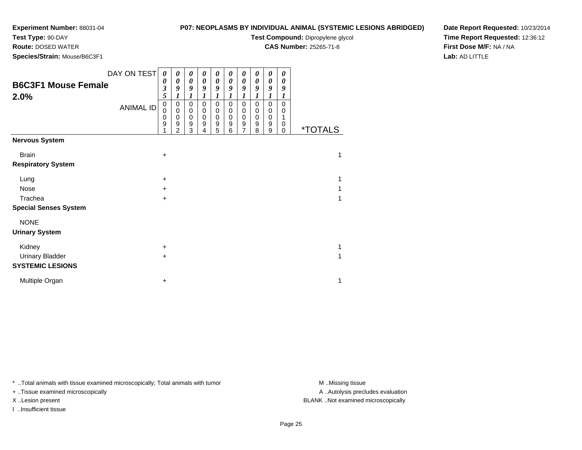**Test Type:** 90-DAY

**Route:** DOSED WATER

**Species/Strain:** Mouse/B6C3F1

## **P07: NEOPLASMS BY INDIVIDUAL ANIMAL (SYSTEMIC LESIONS ABRIDGED)**

**Test Compound:** Dipropylene glycol

**CAS Number:** 25265-71-8

**Date Report Requested:** 10/23/2014**Time Report Requested:** 12:36:12**First Dose M/F:** NA / NA**Lab:** AD LITTLE

| <b>B6C3F1 Mouse Female</b><br>2.0% | DAY ON TEST<br><b>ANIMAL ID</b> | 0<br>0<br>$\overline{\mathbf{3}}$<br>5<br>$\mathbf 0$<br>0<br>0<br>9 | 0<br>0<br>9<br>0<br>$\pmb{0}$<br>$\mathbf 0$<br>9<br>2 | 0<br>0<br>9<br>1<br>0<br>$\mathbf 0$<br>$\mathbf 0$<br>9<br>3 | 0<br>0<br>9<br>$\boldsymbol{l}$<br>$\mathbf 0$<br>$\mathbf 0$<br>$\mathbf 0$<br>9<br>4 | 0<br>0<br>9<br>$\boldsymbol{l}$<br>0<br>$\mathbf 0$<br>$\mathbf 0$<br>9<br>5 | 0<br>0<br>9<br>1<br>$\pmb{0}$<br>$\pmb{0}$<br>$\mathbf 0$<br>$\boldsymbol{9}$<br>6 | 0<br>0<br>9<br>1<br>0<br>0<br>$\boldsymbol{0}$<br>9<br>7 | $\boldsymbol{\theta}$<br>0<br>9<br>1<br>0<br>$\pmb{0}$<br>$\mathbf 0$<br>9<br>8 | 0<br>0<br>9<br>1<br>$\pmb{0}$<br>0<br>$\pmb{0}$<br>9<br>9 | 0<br>0<br>9<br>1<br>$\mathbf 0$<br>0<br>1<br>0<br>0 | <i><b>*TOTALS</b></i> |
|------------------------------------|---------------------------------|----------------------------------------------------------------------|--------------------------------------------------------|---------------------------------------------------------------|----------------------------------------------------------------------------------------|------------------------------------------------------------------------------|------------------------------------------------------------------------------------|----------------------------------------------------------|---------------------------------------------------------------------------------|-----------------------------------------------------------|-----------------------------------------------------|-----------------------|
| <b>Nervous System</b>              |                                 |                                                                      |                                                        |                                                               |                                                                                        |                                                                              |                                                                                    |                                                          |                                                                                 |                                                           |                                                     |                       |
| <b>Brain</b>                       |                                 | +                                                                    |                                                        |                                                               |                                                                                        |                                                                              |                                                                                    |                                                          |                                                                                 |                                                           |                                                     | 1                     |
| <b>Respiratory System</b>          |                                 |                                                                      |                                                        |                                                               |                                                                                        |                                                                              |                                                                                    |                                                          |                                                                                 |                                                           |                                                     |                       |
| Lung                               |                                 | +                                                                    |                                                        |                                                               |                                                                                        |                                                                              |                                                                                    |                                                          |                                                                                 |                                                           |                                                     | 1                     |
| <b>Nose</b>                        |                                 | $\pm$                                                                |                                                        |                                                               |                                                                                        |                                                                              |                                                                                    |                                                          |                                                                                 |                                                           |                                                     |                       |
| Trachea                            |                                 | +                                                                    |                                                        |                                                               |                                                                                        |                                                                              |                                                                                    |                                                          |                                                                                 |                                                           |                                                     | 1                     |
| <b>Special Senses System</b>       |                                 |                                                                      |                                                        |                                                               |                                                                                        |                                                                              |                                                                                    |                                                          |                                                                                 |                                                           |                                                     |                       |
| <b>NONE</b>                        |                                 |                                                                      |                                                        |                                                               |                                                                                        |                                                                              |                                                                                    |                                                          |                                                                                 |                                                           |                                                     |                       |
| <b>Urinary System</b>              |                                 |                                                                      |                                                        |                                                               |                                                                                        |                                                                              |                                                                                    |                                                          |                                                                                 |                                                           |                                                     |                       |
| Kidney                             |                                 | +                                                                    |                                                        |                                                               |                                                                                        |                                                                              |                                                                                    |                                                          |                                                                                 |                                                           |                                                     | 1                     |
| <b>Urinary Bladder</b>             |                                 | $\ddot{}$                                                            |                                                        |                                                               |                                                                                        |                                                                              |                                                                                    |                                                          |                                                                                 |                                                           |                                                     | 1                     |
| <b>SYSTEMIC LESIONS</b>            |                                 |                                                                      |                                                        |                                                               |                                                                                        |                                                                              |                                                                                    |                                                          |                                                                                 |                                                           |                                                     |                       |
| Multiple Organ                     |                                 | +                                                                    |                                                        |                                                               |                                                                                        |                                                                              |                                                                                    |                                                          |                                                                                 |                                                           |                                                     | 1                     |

\* ..Total animals with tissue examined microscopically; Total animals with tumor **M** . Missing tissue M ..Missing tissue

+ ..Tissue examined microscopically

I ..Insufficient tissue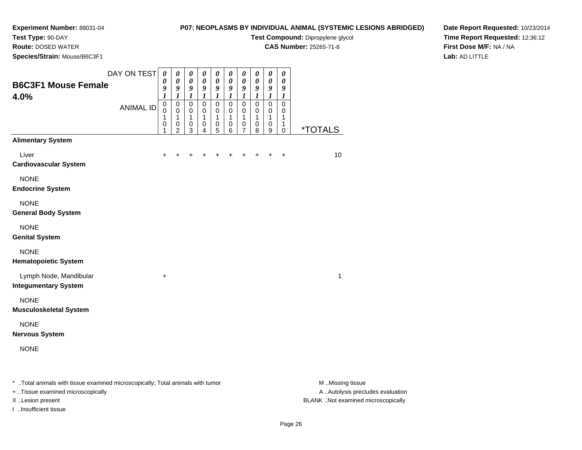# **Test Type:** 90-DAY

**Route:** DOSED WATER

**Species/Strain:** Mouse/B6C3F1

**P07: NEOPLASMS BY INDIVIDUAL ANIMAL (SYSTEMIC LESIONS ABRIDGED)**

**Test Compound:** Dipropylene glycol

**CAS Number:** 25265-71-8

**Date Report Requested:** 10/23/2014**Time Report Requested:** 12:36:12**First Dose M/F:** NA / NA**Lab:** AD LITTLE

| <b>B6C3F1 Mouse Female</b>                                                     | DAY ON TEST      | $\boldsymbol{\theta}$<br>$\boldsymbol{\theta}$<br>9                  | 0<br>$\pmb{\theta}$<br>9                                 | 0<br>$\boldsymbol{\theta}$<br>9                                     | 0<br>$\pmb{\theta}$<br>9                          | 0<br>$\boldsymbol{\theta}$<br>9                                     | 0<br>$\pmb{\theta}$<br>9                                    | 0<br>$\boldsymbol{\theta}$<br>9                             | 0<br>$\boldsymbol{\theta}$<br>9                             | $\boldsymbol{\theta}$<br>$\boldsymbol{\theta}$<br>$\boldsymbol{9}$                            | $\boldsymbol{\theta}$<br>$\boldsymbol{\theta}$<br>$\boldsymbol{9}$      |                       |
|--------------------------------------------------------------------------------|------------------|----------------------------------------------------------------------|----------------------------------------------------------|---------------------------------------------------------------------|---------------------------------------------------|---------------------------------------------------------------------|-------------------------------------------------------------|-------------------------------------------------------------|-------------------------------------------------------------|-----------------------------------------------------------------------------------------------|-------------------------------------------------------------------------|-----------------------|
| 4.0%                                                                           | <b>ANIMAL ID</b> | $\boldsymbol{l}$<br>$\mathbf 0$<br>$\Omega$<br>1<br>$\mathbf 0$<br>1 | 1<br>$\mathbf 0$<br>$\Omega$<br>1<br>0<br>$\overline{2}$ | $\boldsymbol{l}$<br>$\pmb{0}$<br>$\mathbf 0$<br>1<br>$\pmb{0}$<br>3 | $\boldsymbol{l}$<br>$\pmb{0}$<br>0<br>1<br>0<br>4 | $\boldsymbol{l}$<br>$\pmb{0}$<br>$\mathbf 0$<br>1<br>$\pmb{0}$<br>5 | $\boldsymbol{l}$<br>$\pmb{0}$<br>$\mathbf 0$<br>1<br>0<br>6 | $\boldsymbol{l}$<br>$\pmb{0}$<br>$\mathbf 0$<br>1<br>0<br>7 | $\boldsymbol{l}$<br>$\pmb{0}$<br>$\mathbf 0$<br>1<br>0<br>8 | $\boldsymbol{l}$<br>$\pmb{0}$<br>$\mathbf 0$<br>$\mathbf{1}$<br>$\pmb{0}$<br>$\boldsymbol{9}$ | $\boldsymbol{l}$<br>$\mathbf 0$<br>$\mathbf 0$<br>1<br>1<br>$\mathbf 0$ | <i><b>*TOTALS</b></i> |
| <b>Alimentary System</b>                                                       |                  |                                                                      |                                                          |                                                                     |                                                   |                                                                     |                                                             |                                                             |                                                             |                                                                                               |                                                                         |                       |
| Liver<br><b>Cardiovascular System</b>                                          |                  |                                                                      |                                                          |                                                                     |                                                   |                                                                     |                                                             |                                                             |                                                             |                                                                                               | $\ddot{}$                                                               | 10                    |
| <b>NONE</b><br><b>Endocrine System</b>                                         |                  |                                                                      |                                                          |                                                                     |                                                   |                                                                     |                                                             |                                                             |                                                             |                                                                                               |                                                                         |                       |
| <b>NONE</b><br><b>General Body System</b>                                      |                  |                                                                      |                                                          |                                                                     |                                                   |                                                                     |                                                             |                                                             |                                                             |                                                                                               |                                                                         |                       |
| <b>NONE</b><br><b>Genital System</b>                                           |                  |                                                                      |                                                          |                                                                     |                                                   |                                                                     |                                                             |                                                             |                                                             |                                                                                               |                                                                         |                       |
| <b>NONE</b><br><b>Hematopoietic System</b>                                     |                  |                                                                      |                                                          |                                                                     |                                                   |                                                                     |                                                             |                                                             |                                                             |                                                                                               |                                                                         |                       |
| Lymph Node, Mandibular<br><b>Integumentary System</b>                          |                  | $\ddot{}$                                                            |                                                          |                                                                     |                                                   |                                                                     |                                                             |                                                             |                                                             |                                                                                               |                                                                         | 1                     |
| <b>NONE</b><br><b>Musculoskeletal System</b>                                   |                  |                                                                      |                                                          |                                                                     |                                                   |                                                                     |                                                             |                                                             |                                                             |                                                                                               |                                                                         |                       |
| <b>NONE</b><br><b>Nervous System</b>                                           |                  |                                                                      |                                                          |                                                                     |                                                   |                                                                     |                                                             |                                                             |                                                             |                                                                                               |                                                                         |                       |
| <b>NONE</b>                                                                    |                  |                                                                      |                                                          |                                                                     |                                                   |                                                                     |                                                             |                                                             |                                                             |                                                                                               |                                                                         |                       |
| * Total animals with tissue examined microscopically; Total animals with tumor |                  |                                                                      |                                                          |                                                                     |                                                   |                                                                     |                                                             |                                                             |                                                             |                                                                                               |                                                                         | M Missing tissue      |

+ ..Tissue examined microscopically

I ..Insufficient tissue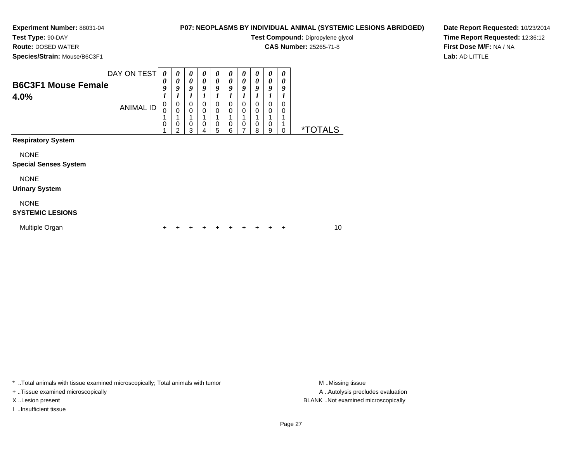**Test Type:** 90-DAY

**Route:** DOSED WATER

**Species/Strain:** Mouse/B6C3F1

## **P07: NEOPLASMS BY INDIVIDUAL ANIMAL (SYSTEMIC LESIONS ABRIDGED)**

**Test Compound:** Dipropylene glycol

**CAS Number:** 25265-71-8

**Date Report Requested:** 10/23/2014**Time Report Requested:** 12:36:12**First Dose M/F:** NA / NA**Lab:** AD LITTLE

| <b>B6C3F1 Mouse Female</b><br>4.0%          | DAY ON TEST<br><b>ANIMAL ID</b> | 0<br>0<br>9<br>0<br>0 | 0<br>$\boldsymbol{\theta}$<br>9<br>1<br>0<br>$\mathbf 0$<br>1 | $\boldsymbol{\theta}$<br>0<br>9<br>0<br>$\mathbf 0$ | 0<br>$\boldsymbol{\theta}$<br>9<br>$\mathbf 0$<br>$\pmb{0}$<br>1 | 0<br>0<br>9<br>$\mathbf 0$<br>$\mathbf 0$ | $\boldsymbol{\theta}$<br>$\boldsymbol{\theta}$<br>9<br>0<br>0 | 0<br>$\boldsymbol{\theta}$<br>9<br>0<br>0 | 0<br>0<br>9<br>0<br>0 | 0<br>$\boldsymbol{\theta}$<br>9<br>$\Omega$<br>$\Omega$ | 0<br>0<br>9<br>$\Omega$<br>0 |                       |    |
|---------------------------------------------|---------------------------------|-----------------------|---------------------------------------------------------------|-----------------------------------------------------|------------------------------------------------------------------|-------------------------------------------|---------------------------------------------------------------|-------------------------------------------|-----------------------|---------------------------------------------------------|------------------------------|-----------------------|----|
|                                             |                                 | 0                     | 0<br>2                                                        | $\mathbf 0$<br>3                                    | $\mathbf 0$<br>4                                                 | 0<br>5                                    | 0<br>6                                                        | 0<br>7                                    | 0<br>8                | $\Omega$<br>9                                           | 0                            | <i><b>*TOTALS</b></i> |    |
| <b>Respiratory System</b>                   |                                 |                       |                                                               |                                                     |                                                                  |                                           |                                                               |                                           |                       |                                                         |                              |                       |    |
| <b>NONE</b><br><b>Special Senses System</b> |                                 |                       |                                                               |                                                     |                                                                  |                                           |                                                               |                                           |                       |                                                         |                              |                       |    |
| <b>NONE</b><br><b>Urinary System</b>        |                                 |                       |                                                               |                                                     |                                                                  |                                           |                                                               |                                           |                       |                                                         |                              |                       |    |
| <b>NONE</b><br><b>SYSTEMIC LESIONS</b>      |                                 |                       |                                                               |                                                     |                                                                  |                                           |                                                               |                                           |                       |                                                         |                              |                       |    |
| Multiple Organ                              |                                 | +                     |                                                               |                                                     |                                                                  |                                           |                                                               |                                           |                       |                                                         | ÷                            |                       | 10 |

\* ..Total animals with tissue examined microscopically; Total animals with tumor **M** . Missing tissue M ..Missing tissue

+ ..Tissue examined microscopically

I ..Insufficient tissue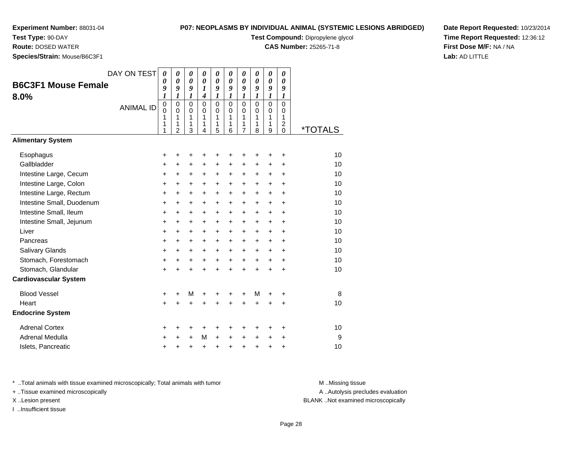**Test Type:** 90-DAY

**Route:** DOSED WATER

**Species/Strain:** Mouse/B6C3F1

## **P07: NEOPLASMS BY INDIVIDUAL ANIMAL (SYSTEMIC LESIONS ABRIDGED)**

**Test Compound:** Dipropylene glycol

**CAS Number:** 25265-71-8

**Date Report Requested:** 10/23/2014**Time Report Requested:** 12:36:12**First Dose M/F:** NA / NA**Lab:** AD LITTLE

| <b>B6C3F1 Mouse Female</b><br>8.0%<br><b>Alimentary System</b> | DAY ON TEST<br><b>ANIMAL ID</b> | 0<br>0<br>9<br>1<br>$\mathbf 0$<br>0<br>1<br>1<br>1 | 0<br>$\boldsymbol{\theta}$<br>9<br>$\boldsymbol{l}$<br>$\mathbf 0$<br>$\mathbf 0$<br>1<br>1<br>$\overline{c}$ | 0<br>$\boldsymbol{\theta}$<br>9<br>1<br>$\Omega$<br>$\mathbf 0$<br>1<br>1<br>3 | $\boldsymbol{\theta}$<br>$\boldsymbol{\theta}$<br>$\boldsymbol{l}$<br>$\boldsymbol{4}$<br>$\Omega$<br>$\mathbf 0$<br>1<br>1<br>4 | 0<br>$\boldsymbol{\theta}$<br>9<br>$\boldsymbol{l}$<br>$\mathbf 0$<br>$\mathbf 0$<br>1<br>1<br>5 | 0<br>0<br>9<br>$\boldsymbol{l}$<br>$\mathbf 0$<br>$\mathbf 0$<br>1<br>1<br>6 | 0<br>0<br>9<br>$\boldsymbol{l}$<br>$\mathbf 0$<br>$\mathbf 0$<br>1<br>1<br>$\overline{7}$ | 0<br>0<br>9<br>$\boldsymbol{l}$<br>$\Omega$<br>$\Omega$<br>1<br>1<br>8 | 0<br>$\boldsymbol{\theta}$<br>9<br>$\boldsymbol{l}$<br>$\mathbf 0$<br>$\mathbf 0$<br>1<br>1<br>9 | 0<br>0<br>9<br>1<br>$\Omega$<br>$\mathbf 0$<br>1<br>$\overline{c}$<br>$\mathbf 0$ | <i><b>*TOTALS</b></i> |
|----------------------------------------------------------------|---------------------------------|-----------------------------------------------------|---------------------------------------------------------------------------------------------------------------|--------------------------------------------------------------------------------|----------------------------------------------------------------------------------------------------------------------------------|--------------------------------------------------------------------------------------------------|------------------------------------------------------------------------------|-------------------------------------------------------------------------------------------|------------------------------------------------------------------------|--------------------------------------------------------------------------------------------------|-----------------------------------------------------------------------------------|-----------------------|
|                                                                |                                 |                                                     |                                                                                                               |                                                                                |                                                                                                                                  |                                                                                                  |                                                                              |                                                                                           |                                                                        |                                                                                                  |                                                                                   |                       |
| Esophagus                                                      |                                 | +                                                   | +                                                                                                             | +                                                                              | +                                                                                                                                | +                                                                                                | +                                                                            | +                                                                                         | +                                                                      | +                                                                                                | $\ddot{}$                                                                         | 10                    |
| Gallbladder                                                    |                                 | +                                                   | $\ddot{}$                                                                                                     | +                                                                              | $\ddot{}$                                                                                                                        | $\ddot{}$                                                                                        | $\ddot{}$                                                                    | $\ddot{}$                                                                                 | +                                                                      | $\ddot{}$                                                                                        | $\ddot{}$                                                                         | 10                    |
| Intestine Large, Cecum                                         |                                 | +                                                   | +                                                                                                             | $\ddot{}$                                                                      | $\ddot{}$                                                                                                                        | $\ddot{}$                                                                                        | $\ddot{}$                                                                    | $\ddot{}$                                                                                 | $\pm$                                                                  | $\ddot{}$                                                                                        | $\ddot{}$                                                                         | 10                    |
| Intestine Large, Colon                                         |                                 | +                                                   | $\ddot{}$                                                                                                     | $\ddot{}$                                                                      | $\ddot{}$                                                                                                                        | $\ddot{}$                                                                                        | +                                                                            | $\ddot{}$                                                                                 | $\ddot{}$                                                              | $\ddot{}$                                                                                        | $\ddot{}$                                                                         | 10                    |
| Intestine Large, Rectum                                        |                                 | +                                                   | +                                                                                                             | +                                                                              | +                                                                                                                                | +                                                                                                | +                                                                            | +                                                                                         | +                                                                      | $\ddot{}$                                                                                        | $\ddot{}$                                                                         | 10                    |
| Intestine Small, Duodenum                                      |                                 | +                                                   | +                                                                                                             | $\ddot{}$                                                                      | $\ddot{}$                                                                                                                        | +                                                                                                | +                                                                            | +                                                                                         | +                                                                      | $\ddot{}$                                                                                        | $\ddot{}$                                                                         | 10                    |
| Intestine Small, Ileum                                         |                                 | +                                                   | $\ddot{}$                                                                                                     | $\ddot{}$                                                                      | $\ddot{}$                                                                                                                        | $\ddot{}$                                                                                        | $\ddot{}$                                                                    | $\ddot{}$                                                                                 | $\ddot{}$                                                              | $\ddot{}$                                                                                        | $\ddot{}$                                                                         | 10                    |
| Intestine Small, Jejunum                                       |                                 | +                                                   | $\ddot{}$                                                                                                     | +                                                                              | $\ddot{}$                                                                                                                        | $\ddot{}$                                                                                        | +                                                                            | +                                                                                         | $\ddot{}$                                                              | $\ddot{}$                                                                                        | $\ddot{}$                                                                         | 10                    |
| Liver                                                          |                                 | +                                                   | +                                                                                                             | +                                                                              | +                                                                                                                                | +                                                                                                | +                                                                            | +                                                                                         | +                                                                      | +                                                                                                | $\ddot{}$                                                                         | 10                    |
| Pancreas                                                       |                                 | $\ddot{}$                                           | +                                                                                                             | $\ddot{}$                                                                      | $\ddot{}$                                                                                                                        | $\ddot{}$                                                                                        | $\ddot{}$                                                                    | $\ddot{}$                                                                                 | $\ddot{}$                                                              | $\ddot{}$                                                                                        | $\ddot{}$                                                                         | 10                    |
| Salivary Glands                                                |                                 | +                                                   | $\ddot{}$                                                                                                     | $\ddot{}$                                                                      | $\ddot{}$                                                                                                                        | $\ddot{}$                                                                                        | $\ddot{}$                                                                    | $\ddot{}$                                                                                 | $\ddot{}$                                                              | $\ddot{}$                                                                                        | $\ddot{}$                                                                         | 10                    |
| Stomach, Forestomach                                           |                                 | $\ddot{}$                                           | $\ddot{}$                                                                                                     | $\ddot{}$                                                                      | $\ddot{}$                                                                                                                        | $\ddot{}$                                                                                        | $\ddot{}$                                                                    | $\ddot{}$                                                                                 | $\ddot{}$                                                              | $+$                                                                                              | $+$                                                                               | 10                    |
| Stomach, Glandular                                             |                                 | $\ddot{}$                                           | ÷                                                                                                             | $\ddot{}$                                                                      | ÷                                                                                                                                | $\ddot{}$                                                                                        | $\ddot{}$                                                                    | $\ddot{}$                                                                                 | $\ddot{}$                                                              | $\ddot{}$                                                                                        | $\ddot{}$                                                                         | 10                    |
| <b>Cardiovascular System</b>                                   |                                 |                                                     |                                                                                                               |                                                                                |                                                                                                                                  |                                                                                                  |                                                                              |                                                                                           |                                                                        |                                                                                                  |                                                                                   |                       |
| <b>Blood Vessel</b>                                            |                                 | +                                                   | +                                                                                                             | M                                                                              | +                                                                                                                                | +                                                                                                | +                                                                            | +                                                                                         | M                                                                      | +                                                                                                | +                                                                                 | 8                     |
| Heart                                                          |                                 | +                                                   | $\ddot{}$                                                                                                     | $\ddot{}$                                                                      |                                                                                                                                  |                                                                                                  |                                                                              | $\ddot{}$                                                                                 | $\ddot{}$                                                              | $\ddot{}$                                                                                        | $\ddot{}$                                                                         | 10                    |
| <b>Endocrine System</b>                                        |                                 |                                                     |                                                                                                               |                                                                                |                                                                                                                                  |                                                                                                  |                                                                              |                                                                                           |                                                                        |                                                                                                  |                                                                                   |                       |
| <b>Adrenal Cortex</b>                                          |                                 | +                                                   | ٠                                                                                                             | +                                                                              | +                                                                                                                                | +                                                                                                | ٠                                                                            | +                                                                                         | +                                                                      | ٠                                                                                                | ٠                                                                                 | 10                    |
| Adrenal Medulla                                                |                                 | +                                                   | +                                                                                                             | $\ddot{}$                                                                      | M                                                                                                                                | $\ddot{}$                                                                                        | $\ddot{}$                                                                    | +                                                                                         | $\ddot{}$                                                              | +                                                                                                | +                                                                                 | 9                     |
| Islets, Pancreatic                                             |                                 | +                                                   | +                                                                                                             | +                                                                              | $\ddot{}$                                                                                                                        | $\ddot{}$                                                                                        | +                                                                            | $\ddot{}$                                                                                 | $\ddot{}$                                                              | $\ddot{}$                                                                                        | +                                                                                 | 10                    |

\* ..Total animals with tissue examined microscopically; Total animals with tumor **M** . Missing tissue M ..Missing tissue

+ ..Tissue examined microscopically

I ..Insufficient tissue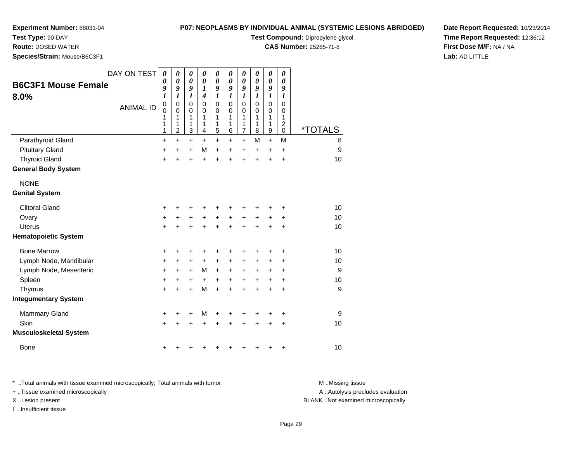**Test Type:** 90-DAY

**Route:** DOSED WATER

**Species/Strain:** Mouse/B6C3F1

## **P07: NEOPLASMS BY INDIVIDUAL ANIMAL (SYSTEMIC LESIONS ABRIDGED)**

**Test Compound:** Dipropylene glycol

**CAS Number:** 25265-71-8

**Date Report Requested:** 10/23/2014**Time Report Requested:** 12:36:12**First Dose M/F:** NA / NA**Lab:** AD LITTLE

| <b>B6C3F1 Mouse Female</b><br>8.0% | DAY ON TEST<br><b>ANIMAL ID</b> | $\boldsymbol{\theta}$<br>$\boldsymbol{\theta}$<br>9<br>1<br>$\mathbf 0$<br>0<br>1<br>1<br>1 | 0<br>$\theta$<br>9<br>1<br>$\mathbf 0$<br>0<br>1<br>1<br>$\overline{2}$ | 0<br>$\boldsymbol{\theta}$<br>9<br>1<br>$\mathbf 0$<br>$\mathbf 0$<br>1<br>1<br>3 | 0<br>$\boldsymbol{\theta}$<br>1<br>$\boldsymbol{4}$<br>$\overline{0}$<br>0<br>1<br>1<br>4 | 0<br>$\boldsymbol{\theta}$<br>9<br>1<br>$\mathbf 0$<br>0<br>1<br>1<br>5 | 0<br>$\boldsymbol{\theta}$<br>9<br>1<br>$\Omega$<br>0<br>1<br>1<br>6 | 0<br>0<br>9<br>1<br>$\mathbf 0$<br>0<br>1<br>1<br>$\overline{7}$ | 0<br>$\boldsymbol{\theta}$<br>9<br>1<br>$\Omega$<br>0<br>1<br>1<br>8 | $\boldsymbol{\theta}$<br>$\boldsymbol{\theta}$<br>9<br>1<br>$\mathbf 0$<br>$\mathbf 0$<br>1<br>1<br>$\boldsymbol{9}$ | 0<br>$\boldsymbol{\theta}$<br>9<br>1<br>$\mathbf 0$<br>0<br>1<br>$\overline{\mathbf{c}}$<br>0 | <i><b>*TOTALS</b></i> |
|------------------------------------|---------------------------------|---------------------------------------------------------------------------------------------|-------------------------------------------------------------------------|-----------------------------------------------------------------------------------|-------------------------------------------------------------------------------------------|-------------------------------------------------------------------------|----------------------------------------------------------------------|------------------------------------------------------------------|----------------------------------------------------------------------|----------------------------------------------------------------------------------------------------------------------|-----------------------------------------------------------------------------------------------|-----------------------|
| Parathyroid Gland                  |                                 | $\ddot{}$                                                                                   | $\ddot{}$                                                               | +                                                                                 | $\ddot{}$                                                                                 | +                                                                       | $\ddot{}$                                                            | $\ddot{}$                                                        | M                                                                    | $\ddot{}$                                                                                                            | M                                                                                             | 8                     |
| <b>Pituitary Gland</b>             |                                 | +                                                                                           | $\ddot{}$                                                               | $\ddot{}$                                                                         | M                                                                                         | +                                                                       | $\ddot{}$                                                            | +                                                                | +                                                                    | $\ddot{}$                                                                                                            | +                                                                                             | 9                     |
| <b>Thyroid Gland</b>               |                                 | $\ddot{}$                                                                                   | $\ddot{}$                                                               | $\ddot{}$                                                                         | $\ddot{}$                                                                                 | $\ddot{}$                                                               | $\ddot{}$                                                            | $\ddot{}$                                                        | $\ddot{}$                                                            | $\ddot{}$                                                                                                            | $\ddot{}$                                                                                     | 10                    |
| <b>General Body System</b>         |                                 |                                                                                             |                                                                         |                                                                                   |                                                                                           |                                                                         |                                                                      |                                                                  |                                                                      |                                                                                                                      |                                                                                               |                       |
| <b>NONE</b>                        |                                 |                                                                                             |                                                                         |                                                                                   |                                                                                           |                                                                         |                                                                      |                                                                  |                                                                      |                                                                                                                      |                                                                                               |                       |
| <b>Genital System</b>              |                                 |                                                                                             |                                                                         |                                                                                   |                                                                                           |                                                                         |                                                                      |                                                                  |                                                                      |                                                                                                                      |                                                                                               |                       |
| <b>Clitoral Gland</b>              |                                 | +                                                                                           |                                                                         |                                                                                   |                                                                                           | +                                                                       |                                                                      | +                                                                |                                                                      | +                                                                                                                    | +                                                                                             | 10                    |
| Ovary                              |                                 | +                                                                                           | +                                                                       | +                                                                                 | +                                                                                         | +                                                                       | $\ddot{}$                                                            | +                                                                | +                                                                    | +                                                                                                                    | +                                                                                             | 10                    |
| <b>Uterus</b>                      |                                 | $\ddot{}$                                                                                   |                                                                         |                                                                                   |                                                                                           | $\ddot{}$                                                               |                                                                      | $\ddot{}$                                                        | $\ddot{}$                                                            | $\ddot{}$                                                                                                            | $\ddot{}$                                                                                     | 10                    |
| <b>Hematopoietic System</b>        |                                 |                                                                                             |                                                                         |                                                                                   |                                                                                           |                                                                         |                                                                      |                                                                  |                                                                      |                                                                                                                      |                                                                                               |                       |
| <b>Bone Marrow</b>                 |                                 | +                                                                                           | +                                                                       | +                                                                                 | +                                                                                         | +                                                                       | +                                                                    | +                                                                | +                                                                    | +                                                                                                                    | +                                                                                             | 10                    |
| Lymph Node, Mandibular             |                                 | +                                                                                           | +                                                                       | +                                                                                 | $\ddot{}$                                                                                 | +                                                                       | $\ddot{}$                                                            | +                                                                | +                                                                    | +                                                                                                                    | +                                                                                             | 10                    |
| Lymph Node, Mesenteric             |                                 | +                                                                                           | $\ddot{}$                                                               | $\ddot{}$                                                                         | M                                                                                         | $+$                                                                     | $\ddot{}$                                                            | $\ddot{}$                                                        | $\ddot{}$                                                            | +                                                                                                                    | +                                                                                             | 9                     |
| Spleen                             |                                 | $\ddot{}$                                                                                   | +                                                                       | +                                                                                 | $\ddot{}$                                                                                 | +                                                                       | $\ddot{}$                                                            | $\ddot{}$                                                        | $\ddot{}$                                                            | $\ddot{}$                                                                                                            | $\ddot{}$                                                                                     | 10                    |
| Thymus                             |                                 | +                                                                                           | $\ddot{}$                                                               | $\ddot{}$                                                                         | M                                                                                         | $\ddot{}$                                                               | $\ddot{}$                                                            | $\ddot{}$                                                        | $\ddot{}$                                                            | $\ddot{}$                                                                                                            | $\ddot{}$                                                                                     | 9                     |
| <b>Integumentary System</b>        |                                 |                                                                                             |                                                                         |                                                                                   |                                                                                           |                                                                         |                                                                      |                                                                  |                                                                      |                                                                                                                      |                                                                                               |                       |
| <b>Mammary Gland</b>               |                                 | +                                                                                           | +                                                                       | +                                                                                 | M                                                                                         | +                                                                       | ٠                                                                    | +                                                                | ٠                                                                    | +                                                                                                                    | +                                                                                             | 9                     |
| Skin                               |                                 | $\ddot{}$                                                                                   |                                                                         |                                                                                   |                                                                                           |                                                                         |                                                                      | +                                                                |                                                                      | $\ddot{}$                                                                                                            | $\ddot{}$                                                                                     | 10                    |
| <b>Musculoskeletal System</b>      |                                 |                                                                                             |                                                                         |                                                                                   |                                                                                           |                                                                         |                                                                      |                                                                  |                                                                      |                                                                                                                      |                                                                                               |                       |
| Bone                               |                                 | +                                                                                           |                                                                         |                                                                                   |                                                                                           |                                                                         |                                                                      | +                                                                | +                                                                    | +                                                                                                                    | +                                                                                             | 10                    |

\* ..Total animals with tissue examined microscopically; Total animals with tumor **M** . Missing tissue M ..Missing tissue A ..Autolysis precludes evaluation + ..Tissue examined microscopically X ..Lesion present BLANK ..Not examined microscopicallyI ..Insufficient tissue